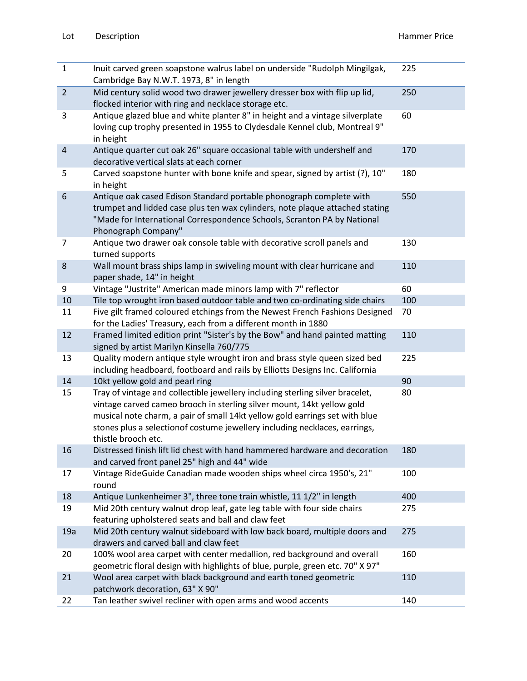| $\mathbf{1}$     | Inuit carved green soapstone walrus label on underside "Rudolph Mingilgak,<br>Cambridge Bay N.W.T. 1973, 8" in length                                                                                                                                                                                                                       | 225 |
|------------------|---------------------------------------------------------------------------------------------------------------------------------------------------------------------------------------------------------------------------------------------------------------------------------------------------------------------------------------------|-----|
| $\overline{2}$   | Mid century solid wood two drawer jewellery dresser box with flip up lid,<br>flocked interior with ring and necklace storage etc.                                                                                                                                                                                                           | 250 |
| 3                | Antique glazed blue and white planter 8" in height and a vintage silverplate<br>loving cup trophy presented in 1955 to Clydesdale Kennel club, Montreal 9"<br>in height                                                                                                                                                                     | 60  |
| $\sqrt{4}$       | Antique quarter cut oak 26" square occasional table with undershelf and<br>decorative vertical slats at each corner                                                                                                                                                                                                                         | 170 |
| 5                | Carved soapstone hunter with bone knife and spear, signed by artist (?), 10"<br>in height                                                                                                                                                                                                                                                   | 180 |
| $\boldsymbol{6}$ | Antique oak cased Edison Standard portable phonograph complete with<br>trumpet and lidded case plus ten wax cylinders, note plaque attached stating<br>"Made for International Correspondence Schools, Scranton PA by National<br>Phonograph Company"                                                                                       | 550 |
| $\overline{7}$   | Antique two drawer oak console table with decorative scroll panels and<br>turned supports                                                                                                                                                                                                                                                   | 130 |
| 8                | Wall mount brass ships lamp in swiveling mount with clear hurricane and<br>paper shade, 14" in height                                                                                                                                                                                                                                       | 110 |
| 9                | Vintage "Justrite" American made minors lamp with 7" reflector                                                                                                                                                                                                                                                                              | 60  |
| 10               | Tile top wrought iron based outdoor table and two co-ordinating side chairs                                                                                                                                                                                                                                                                 | 100 |
| 11               | Five gilt framed coloured etchings from the Newest French Fashions Designed<br>for the Ladies' Treasury, each from a different month in 1880                                                                                                                                                                                                | 70  |
| 12               | Framed limited edition print "Sister's by the Bow" and hand painted matting<br>signed by artist Marilyn Kinsella 760/775                                                                                                                                                                                                                    | 110 |
| 13               | Quality modern antique style wrought iron and brass style queen sized bed<br>including headboard, footboard and rails by Elliotts Designs Inc. California                                                                                                                                                                                   | 225 |
| 14               | 10kt yellow gold and pearl ring                                                                                                                                                                                                                                                                                                             | 90  |
| 15               | Tray of vintage and collectible jewellery including sterling silver bracelet,<br>vintage carved cameo brooch in sterling silver mount, 14kt yellow gold<br>musical note charm, a pair of small 14kt yellow gold earrings set with blue<br>stones plus a selectionof costume jewellery including necklaces, earrings,<br>thistle brooch etc. | 80  |
| 16               | Distressed finish lift lid chest with hand hammered hardware and decoration<br>and carved front panel 25" high and 44" wide                                                                                                                                                                                                                 | 180 |
| 17               | Vintage RideGuide Canadian made wooden ships wheel circa 1950's, 21"<br>round                                                                                                                                                                                                                                                               | 100 |
| 18               | Antique Lunkenheimer 3", three tone train whistle, 11 1/2" in length                                                                                                                                                                                                                                                                        | 400 |
| 19               | Mid 20th century walnut drop leaf, gate leg table with four side chairs<br>featuring upholstered seats and ball and claw feet                                                                                                                                                                                                               | 275 |
| 19a              | Mid 20th century walnut sideboard with low back board, multiple doors and<br>drawers and carved ball and claw feet                                                                                                                                                                                                                          | 275 |
| 20               | 100% wool area carpet with center medallion, red background and overall<br>geometric floral design with highlights of blue, purple, green etc. 70" X 97"                                                                                                                                                                                    | 160 |
| 21               | Wool area carpet with black background and earth toned geometric<br>patchwork decoration, 63" X 90"                                                                                                                                                                                                                                         | 110 |
| 22               | Tan leather swivel recliner with open arms and wood accents                                                                                                                                                                                                                                                                                 | 140 |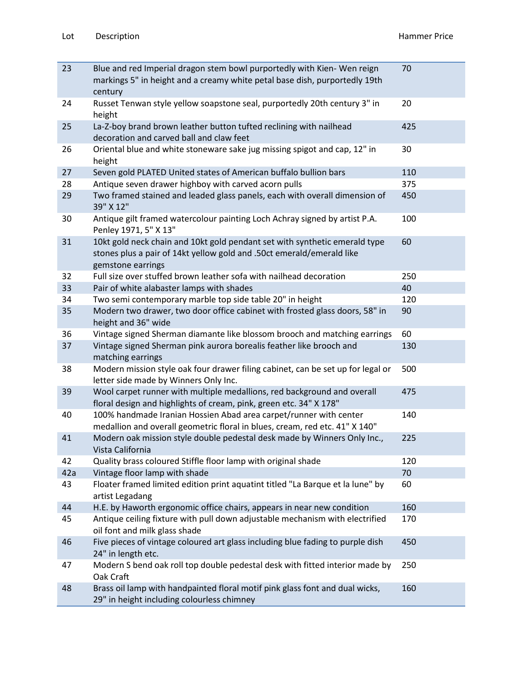| 23  | Blue and red Imperial dragon stem bowl purportedly with Kien-Wen reign<br>markings 5" in height and a creamy white petal base dish, purportedly 19th<br>century          | 70  |
|-----|--------------------------------------------------------------------------------------------------------------------------------------------------------------------------|-----|
| 24  | Russet Tenwan style yellow soapstone seal, purportedly 20th century 3" in<br>height                                                                                      | 20  |
| 25  | La-Z-boy brand brown leather button tufted reclining with nailhead<br>decoration and carved ball and claw feet                                                           | 425 |
| 26  | Oriental blue and white stoneware sake jug missing spigot and cap, 12" in<br>height                                                                                      | 30  |
| 27  | Seven gold PLATED United states of American buffalo bullion bars                                                                                                         | 110 |
| 28  | Antique seven drawer highboy with carved acorn pulls                                                                                                                     | 375 |
| 29  | Two framed stained and leaded glass panels, each with overall dimension of<br>39" X 12"                                                                                  | 450 |
| 30  | Antique gilt framed watercolour painting Loch Achray signed by artist P.A.<br>Penley 1971, 5" X 13"                                                                      | 100 |
| 31  | 10kt gold neck chain and 10kt gold pendant set with synthetic emerald type<br>stones plus a pair of 14kt yellow gold and .50ct emerald/emerald like<br>gemstone earrings | 60  |
| 32  | Full size over stuffed brown leather sofa with nailhead decoration                                                                                                       | 250 |
| 33  | Pair of white alabaster lamps with shades                                                                                                                                | 40  |
| 34  | Two semi contemporary marble top side table 20" in height                                                                                                                | 120 |
| 35  | Modern two drawer, two door office cabinet with frosted glass doors, 58" in<br>height and 36" wide                                                                       | 90  |
| 36  | Vintage signed Sherman diamante like blossom brooch and matching earrings                                                                                                | 60  |
| 37  | Vintage signed Sherman pink aurora borealis feather like brooch and<br>matching earrings                                                                                 | 130 |
| 38  | Modern mission style oak four drawer filing cabinet, can be set up for legal or<br>letter side made by Winners Only Inc.                                                 | 500 |
| 39  | Wool carpet runner with multiple medallions, red background and overall<br>floral design and highlights of cream, pink, green etc. 34" X 178"                            | 475 |
| 40  | 100% handmade Iranian Hossien Abad area carpet/runner with center<br>medallion and overall geometric floral in blues, cream, red etc. 41" X 140"                         | 140 |
| 41  | Modern oak mission style double pedestal desk made by Winners Only Inc.,<br>Vista California                                                                             | 225 |
| 42  | Quality brass coloured Stiffle floor lamp with original shade                                                                                                            | 120 |
| 42a | Vintage floor lamp with shade                                                                                                                                            | 70  |
| 43  | Floater framed limited edition print aquatint titled "La Barque et la lune" by<br>artist Legadang                                                                        | 60  |
| 44  | H.E. by Haworth ergonomic office chairs, appears in near new condition                                                                                                   | 160 |
| 45  | Antique ceiling fixture with pull down adjustable mechanism with electrified<br>oil font and milk glass shade                                                            | 170 |
| 46  | Five pieces of vintage coloured art glass including blue fading to purple dish<br>24" in length etc.                                                                     | 450 |
| 47  | Modern S bend oak roll top double pedestal desk with fitted interior made by<br>Oak Craft                                                                                | 250 |
| 48  | Brass oil lamp with handpainted floral motif pink glass font and dual wicks,<br>29" in height including colourless chimney                                               | 160 |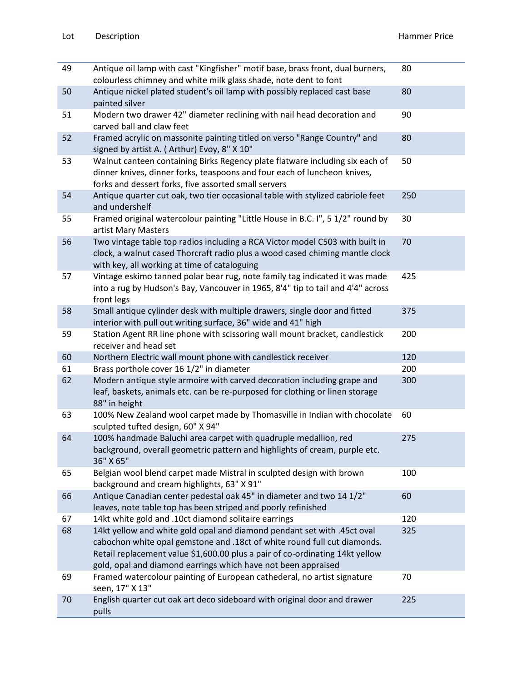| 49 | Antique oil lamp with cast "Kingfisher" motif base, brass front, dual burners,<br>colourless chimney and white milk glass shade, note dent to font                                                                                                                                                   | 80  |
|----|------------------------------------------------------------------------------------------------------------------------------------------------------------------------------------------------------------------------------------------------------------------------------------------------------|-----|
| 50 | Antique nickel plated student's oil lamp with possibly replaced cast base<br>painted silver                                                                                                                                                                                                          | 80  |
| 51 | Modern two drawer 42" diameter reclining with nail head decoration and<br>carved ball and claw feet                                                                                                                                                                                                  | 90  |
| 52 | Framed acrylic on massonite painting titled on verso "Range Country" and<br>signed by artist A. (Arthur) Evoy, 8" X 10"                                                                                                                                                                              | 80  |
| 53 | Walnut canteen containing Birks Regency plate flatware including six each of<br>dinner knives, dinner forks, teaspoons and four each of luncheon knives,<br>forks and dessert forks, five assorted small servers                                                                                     | 50  |
| 54 | Antique quarter cut oak, two tier occasional table with stylized cabriole feet<br>and undershelf                                                                                                                                                                                                     | 250 |
| 55 | Framed original watercolour painting "Little House in B.C. I", 5 1/2" round by<br>artist Mary Masters                                                                                                                                                                                                | 30  |
| 56 | Two vintage table top radios including a RCA Victor model C503 with built in<br>clock, a walnut cased Thorcraft radio plus a wood cased chiming mantle clock<br>with key, all working at time of cataloguing                                                                                         | 70  |
| 57 | Vintage eskimo tanned polar bear rug, note family tag indicated it was made<br>into a rug by Hudson's Bay, Vancouver in 1965, 8'4" tip to tail and 4'4" across<br>front legs                                                                                                                         | 425 |
| 58 | Small antique cylinder desk with multiple drawers, single door and fitted<br>interior with pull out writing surface, 36" wide and 41" high                                                                                                                                                           | 375 |
| 59 | Station Agent RR line phone with scissoring wall mount bracket, candlestick<br>receiver and head set                                                                                                                                                                                                 | 200 |
| 60 | Northern Electric wall mount phone with candlestick receiver                                                                                                                                                                                                                                         | 120 |
| 61 | Brass porthole cover 16 1/2" in diameter                                                                                                                                                                                                                                                             | 200 |
| 62 | Modern antique style armoire with carved decoration including grape and<br>leaf, baskets, animals etc. can be re-purposed for clothing or linen storage<br>88" in height                                                                                                                             | 300 |
| 63 | 100% New Zealand wool carpet made by Thomasville in Indian with chocolate<br>sculpted tufted design, 60" X 94"                                                                                                                                                                                       | 60  |
| 64 | 100% handmade Baluchi area carpet with quadruple medallion, red<br>background, overall geometric pattern and highlights of cream, purple etc.<br>36" X 65"                                                                                                                                           | 275 |
| 65 | Belgian wool blend carpet made Mistral in sculpted design with brown<br>background and cream highlights, 63" X 91"                                                                                                                                                                                   | 100 |
| 66 | Antique Canadian center pedestal oak 45" in diameter and two 14 1/2"<br>leaves, note table top has been striped and poorly refinished                                                                                                                                                                | 60  |
| 67 | 14kt white gold and .10ct diamond solitaire earrings                                                                                                                                                                                                                                                 | 120 |
| 68 | 14kt yellow and white gold opal and diamond pendant set with .45ct oval<br>cabochon white opal gemstone and .18ct of white round full cut diamonds.<br>Retail replacement value \$1,600.00 plus a pair of co-ordinating 14kt yellow<br>gold, opal and diamond earrings which have not been appraised | 325 |
| 69 | Framed watercolour painting of European cathederal, no artist signature<br>seen, 17" X 13"                                                                                                                                                                                                           | 70  |
| 70 | English quarter cut oak art deco sideboard with original door and drawer<br>pulls                                                                                                                                                                                                                    | 225 |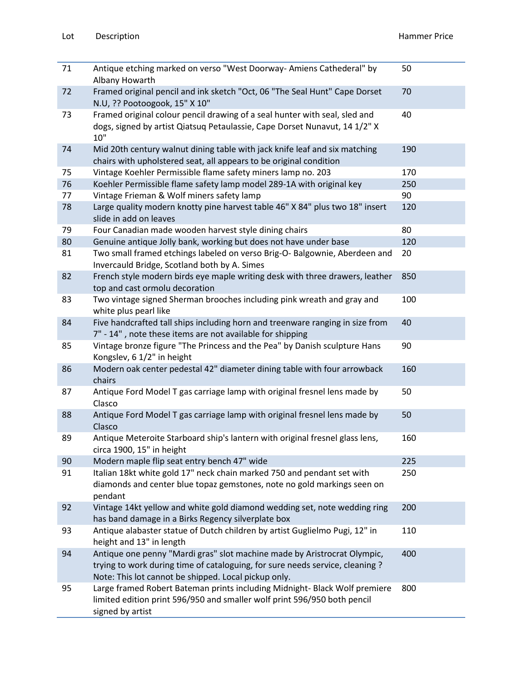| 71 | Antique etching marked on verso "West Doorway-Amiens Cathederal" by<br>Albany Howarth                                                                                                                             | 50  |
|----|-------------------------------------------------------------------------------------------------------------------------------------------------------------------------------------------------------------------|-----|
| 72 | Framed original pencil and ink sketch "Oct, 06 "The Seal Hunt" Cape Dorset<br>N.U, ?? Pootoogook, 15" X 10"                                                                                                       | 70  |
| 73 | Framed original colour pencil drawing of a seal hunter with seal, sled and<br>dogs, signed by artist Qiatsuq Petaulassie, Cape Dorset Nunavut, 14 1/2" X<br>10"                                                   | 40  |
| 74 | Mid 20th century walnut dining table with jack knife leaf and six matching<br>chairs with upholstered seat, all appears to be original condition                                                                  | 190 |
| 75 | Vintage Koehler Permissible flame safety miners lamp no. 203                                                                                                                                                      | 170 |
| 76 | Koehler Permissible flame safety lamp model 289-1A with original key                                                                                                                                              | 250 |
| 77 | Vintage Frieman & Wolf miners safety lamp                                                                                                                                                                         | 90  |
| 78 | Large quality modern knotty pine harvest table 46" X 84" plus two 18" insert<br>slide in add on leaves                                                                                                            | 120 |
| 79 | Four Canadian made wooden harvest style dining chairs                                                                                                                                                             | 80  |
| 80 | Genuine antique Jolly bank, working but does not have under base                                                                                                                                                  | 120 |
| 81 | Two small framed etchings labeled on verso Brig-O- Balgownie, Aberdeen and<br>Invercauld Bridge, Scotland both by A. Simes                                                                                        | 20  |
| 82 | French style modern birds eye maple writing desk with three drawers, leather<br>top and cast ormolu decoration                                                                                                    | 850 |
| 83 | Two vintage signed Sherman brooches including pink wreath and gray and<br>white plus pearl like                                                                                                                   | 100 |
| 84 | Five handcrafted tall ships including horn and treenware ranging in size from<br>7" - 14", note these items are not available for shipping                                                                        | 40  |
| 85 | Vintage bronze figure "The Princess and the Pea" by Danish sculpture Hans<br>Kongslev, 6 1/2" in height                                                                                                           | 90  |
| 86 | Modern oak center pedestal 42" diameter dining table with four arrowback<br>chairs                                                                                                                                | 160 |
| 87 | Antique Ford Model T gas carriage lamp with original fresnel lens made by<br>Clasco                                                                                                                               | 50  |
| 88 | Antique Ford Model T gas carriage lamp with original fresnel lens made by<br>Clasco                                                                                                                               | 50  |
| 89 | Antique Meteroite Starboard ship's lantern with original fresnel glass lens,<br>circa 1900, 15" in height                                                                                                         | 160 |
| 90 | Modern maple flip seat entry bench 47" wide                                                                                                                                                                       | 225 |
| 91 | Italian 18kt white gold 17" neck chain marked 750 and pendant set with<br>diamonds and center blue topaz gemstones, note no gold markings seen on<br>pendant                                                      | 250 |
| 92 | Vintage 14kt yellow and white gold diamond wedding set, note wedding ring<br>has band damage in a Birks Regency silverplate box                                                                                   | 200 |
| 93 | Antique alabaster statue of Dutch children by artist Guglielmo Pugi, 12" in<br>height and 13" in length                                                                                                           | 110 |
| 94 | Antique one penny "Mardi gras" slot machine made by Aristrocrat Olympic,<br>trying to work during time of cataloguing, for sure needs service, cleaning ?<br>Note: This lot cannot be shipped. Local pickup only. | 400 |
| 95 | Large framed Robert Bateman prints including Midnight- Black Wolf premiere<br>limited edition print 596/950 and smaller wolf print 596/950 both pencil<br>signed by artist                                        | 800 |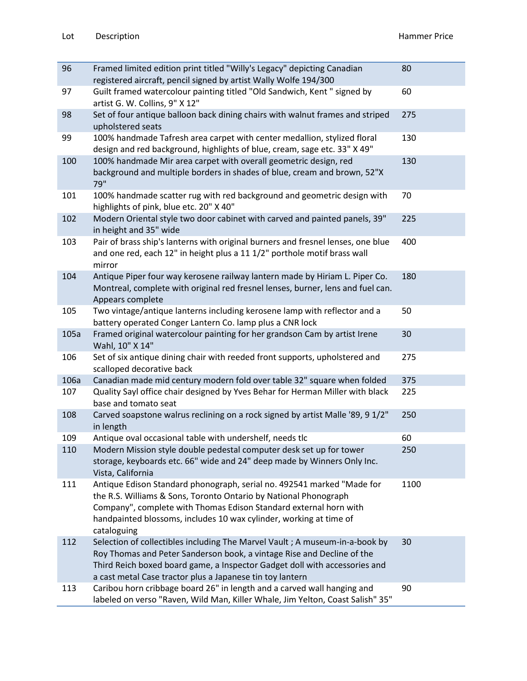| 96   | Framed limited edition print titled "Willy's Legacy" depicting Canadian<br>registered aircraft, pencil signed by artist Wally Wolfe 194/300                                                                                                                                                          | 80   |
|------|------------------------------------------------------------------------------------------------------------------------------------------------------------------------------------------------------------------------------------------------------------------------------------------------------|------|
| 97   | Guilt framed watercolour painting titled "Old Sandwich, Kent" signed by<br>artist G. W. Collins, 9" X 12"                                                                                                                                                                                            | 60   |
| 98   | Set of four antique balloon back dining chairs with walnut frames and striped<br>upholstered seats                                                                                                                                                                                                   | 275  |
| 99   | 100% handmade Tafresh area carpet with center medallion, stylized floral<br>design and red background, highlights of blue, cream, sage etc. 33" X 49"                                                                                                                                                | 130  |
| 100  | 100% handmade Mir area carpet with overall geometric design, red<br>background and multiple borders in shades of blue, cream and brown, 52"X<br>79"                                                                                                                                                  | 130  |
| 101  | 100% handmade scatter rug with red background and geometric design with<br>highlights of pink, blue etc. 20" X 40"                                                                                                                                                                                   | 70   |
| 102  | Modern Oriental style two door cabinet with carved and painted panels, 39"<br>in height and 35" wide                                                                                                                                                                                                 | 225  |
| 103  | Pair of brass ship's lanterns with original burners and fresnel lenses, one blue<br>and one red, each 12" in height plus a 11 1/2" porthole motif brass wall<br>mirror                                                                                                                               | 400  |
| 104  | Antique Piper four way kerosene railway lantern made by Hiriam L. Piper Co.<br>Montreal, complete with original red fresnel lenses, burner, lens and fuel can.<br>Appears complete                                                                                                                   | 180  |
| 105  | Two vintage/antique lanterns including kerosene lamp with reflector and a<br>battery operated Conger Lantern Co. lamp plus a CNR lock                                                                                                                                                                | 50   |
| 105a | Framed original watercolour painting for her grandson Cam by artist Irene<br>Wahl, 10" X 14"                                                                                                                                                                                                         | 30   |
| 106  | Set of six antique dining chair with reeded front supports, upholstered and<br>scalloped decorative back                                                                                                                                                                                             | 275  |
| 106a | Canadian made mid century modern fold over table 32" square when folded                                                                                                                                                                                                                              | 375  |
| 107  | Quality Sayl office chair designed by Yves Behar for Herman Miller with black<br>base and tomato seat                                                                                                                                                                                                | 225  |
| 108  | Carved soapstone walrus reclining on a rock signed by artist Malle '89, 9 1/2"<br>in length                                                                                                                                                                                                          | 250  |
| 109  | Antique oval occasional table with undershelf, needs tlc                                                                                                                                                                                                                                             | 60   |
| 110  | Modern Mission style double pedestal computer desk set up for tower<br>storage, keyboards etc. 66" wide and 24" deep made by Winners Only Inc.<br>Vista, California                                                                                                                                  | 250  |
| 111  | Antique Edison Standard phonograph, serial no. 492541 marked "Made for<br>the R.S. Williams & Sons, Toronto Ontario by National Phonograph<br>Company", complete with Thomas Edison Standard external horn with<br>handpainted blossoms, includes 10 wax cylinder, working at time of<br>cataloguing | 1100 |
| 112  | Selection of collectibles including The Marvel Vault ; A museum-in-a-book by<br>Roy Thomas and Peter Sanderson book, a vintage Rise and Decline of the<br>Third Reich boxed board game, a Inspector Gadget doll with accessories and<br>a cast metal Case tractor plus a Japanese tin toy lantern    | 30   |
| 113  | Caribou horn cribbage board 26" in length and a carved wall hanging and<br>labeled on verso "Raven, Wild Man, Killer Whale, Jim Yelton, Coast Salish" 35"                                                                                                                                            | 90   |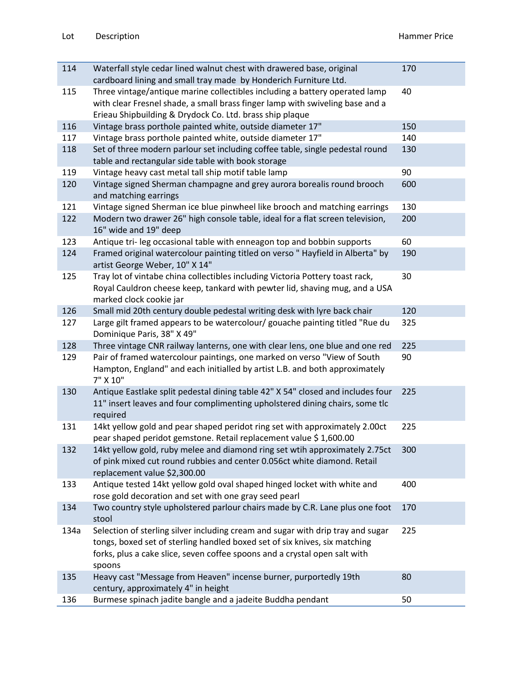| 114  | Waterfall style cedar lined walnut chest with drawered base, original                                                                                                                                                                                 | 170 |
|------|-------------------------------------------------------------------------------------------------------------------------------------------------------------------------------------------------------------------------------------------------------|-----|
| 115  | cardboard lining and small tray made by Honderich Furniture Ltd.<br>Three vintage/antique marine collectibles including a battery operated lamp<br>with clear Fresnel shade, a small brass finger lamp with swiveling base and a                      | 40  |
|      | Erieau Shipbuilding & Drydock Co. Ltd. brass ship plaque                                                                                                                                                                                              |     |
| 116  | Vintage brass porthole painted white, outside diameter 17"                                                                                                                                                                                            | 150 |
| 117  | Vintage brass porthole painted white, outside diameter 17"                                                                                                                                                                                            | 140 |
| 118  | Set of three modern parlour set including coffee table, single pedestal round<br>table and rectangular side table with book storage                                                                                                                   | 130 |
| 119  | Vintage heavy cast metal tall ship motif table lamp                                                                                                                                                                                                   | 90  |
| 120  | Vintage signed Sherman champagne and grey aurora borealis round brooch<br>and matching earrings                                                                                                                                                       | 600 |
| 121  | Vintage signed Sherman ice blue pinwheel like brooch and matching earrings                                                                                                                                                                            | 130 |
| 122  | Modern two drawer 26" high console table, ideal for a flat screen television,<br>16" wide and 19" deep                                                                                                                                                | 200 |
| 123  | Antique tri- leg occasional table with enneagon top and bobbin supports                                                                                                                                                                               | 60  |
| 124  | Framed original watercolour painting titled on verso "Hayfield in Alberta" by<br>artist George Weber, 10" X 14"                                                                                                                                       | 190 |
| 125  | Tray lot of vintabe china collectibles including Victoria Pottery toast rack,<br>Royal Cauldron cheese keep, tankard with pewter lid, shaving mug, and a USA<br>marked clock cookie jar                                                               | 30  |
| 126  | Small mid 20th century double pedestal writing desk with lyre back chair                                                                                                                                                                              | 120 |
| 127  | Large gilt framed appears to be watercolour/ gouache painting titled "Rue du<br>Dominique Paris, 38" X 49"                                                                                                                                            | 325 |
| 128  | Three vintage CNR railway lanterns, one with clear lens, one blue and one red                                                                                                                                                                         | 225 |
| 129  | Pair of framed watercolour paintings, one marked on verso "View of South<br>Hampton, England" and each initialled by artist L.B. and both approximately<br>7" X 10"                                                                                   | 90  |
| 130  | Antique Eastlake split pedestal dining table 42" X 54" closed and includes four<br>11" insert leaves and four complimenting upholstered dining chairs, some tlc<br>required                                                                           | 225 |
| 131  | 14kt yellow gold and pear shaped peridot ring set with approximately 2.00ct<br>pear shaped peridot gemstone. Retail replacement value \$1,600.00                                                                                                      | 225 |
| 132  | 14kt yellow gold, ruby melee and diamond ring set wtih approximately 2.75ct<br>of pink mixed cut round rubbies and center 0.056ct white diamond. Retail<br>replacement value \$2,300.00                                                               | 300 |
| 133  | Antique tested 14kt yellow gold oval shaped hinged locket with white and<br>rose gold decoration and set with one gray seed pearl                                                                                                                     | 400 |
| 134  | Two country style upholstered parlour chairs made by C.R. Lane plus one foot<br>stool                                                                                                                                                                 | 170 |
| 134a | Selection of sterling silver including cream and sugar with drip tray and sugar<br>tongs, boxed set of sterling handled boxed set of six knives, six matching<br>forks, plus a cake slice, seven coffee spoons and a crystal open salt with<br>spoons | 225 |
| 135  | Heavy cast "Message from Heaven" incense burner, purportedly 19th<br>century, approximately 4" in height                                                                                                                                              | 80  |
| 136  | Burmese spinach jadite bangle and a jadeite Buddha pendant                                                                                                                                                                                            | 50  |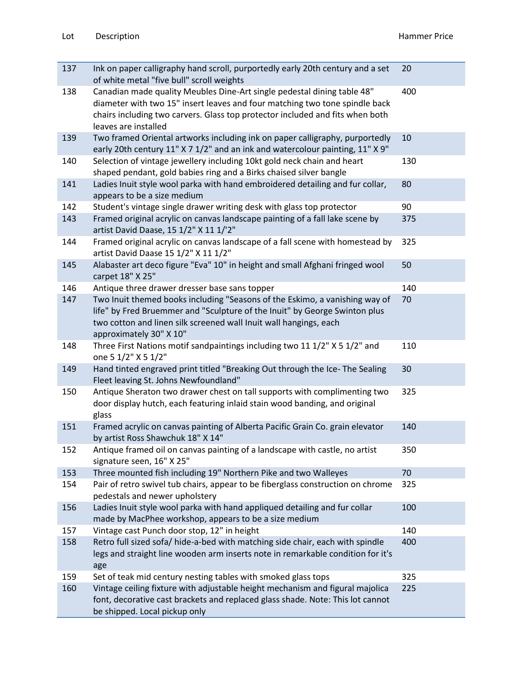| 137 | Ink on paper calligraphy hand scroll, purportedly early 20th century and a set<br>of white metal "five bull" scroll weights                                                                                                                                     | 20  |
|-----|-----------------------------------------------------------------------------------------------------------------------------------------------------------------------------------------------------------------------------------------------------------------|-----|
| 138 | Canadian made quality Meubles Dine-Art single pedestal dining table 48"<br>diameter with two 15" insert leaves and four matching two tone spindle back<br>chairs including two carvers. Glass top protector included and fits when both<br>leaves are installed | 400 |
| 139 | Two framed Oriental artworks including ink on paper calligraphy, purportedly<br>early 20th century 11" X 7 1/2" and an ink and watercolour painting, 11" X 9"                                                                                                   | 10  |
| 140 | Selection of vintage jewellery including 10kt gold neck chain and heart<br>shaped pendant, gold babies ring and a Birks chaised silver bangle                                                                                                                   | 130 |
| 141 | Ladies Inuit style wool parka with hand embroidered detailing and fur collar,<br>appears to be a size medium                                                                                                                                                    | 80  |
| 142 | Student's vintage single drawer writing desk with glass top protector                                                                                                                                                                                           | 90  |
| 143 | Framed original acrylic on canvas landscape painting of a fall lake scene by<br>artist David Daase, 15 1/2" X 11 1/'2"                                                                                                                                          | 375 |
| 144 | Framed original acrylic on canvas landscape of a fall scene with homestead by<br>artist David Daase 15 1/2" X 11 1/2"                                                                                                                                           | 325 |
| 145 | Alabaster art deco figure "Eva" 10" in height and small Afghani fringed wool<br>carpet 18" X 25"                                                                                                                                                                | 50  |
| 146 | Antique three drawer dresser base sans topper                                                                                                                                                                                                                   | 140 |
| 147 | Two Inuit themed books including "Seasons of the Eskimo, a vanishing way of<br>life" by Fred Bruemmer and "Sculpture of the Inuit" by George Swinton plus<br>two cotton and linen silk screened wall Inuit wall hangings, each<br>approximately 30" X 10"       | 70  |
| 148 | Three First Nations motif sandpaintings including two 11 1/2" X 5 1/2" and<br>one 5 1/2" X 5 1/2"                                                                                                                                                               | 110 |
| 149 | Hand tinted engraved print titled "Breaking Out through the Ice- The Sealing<br>Fleet leaving St. Johns Newfoundland"                                                                                                                                           | 30  |
| 150 | Antique Sheraton two drawer chest on tall supports with complimenting two<br>door display hutch, each featuring inlaid stain wood banding, and original<br>glass                                                                                                | 325 |
| 151 | Framed acrylic on canvas painting of Alberta Pacific Grain Co. grain elevator<br>by artist Ross Shawchuk 18" X 14"                                                                                                                                              | 140 |
| 152 | Antique framed oil on canvas painting of a landscape with castle, no artist<br>signature seen, 16" X 25"                                                                                                                                                        | 350 |
| 153 | Three mounted fish including 19" Northern Pike and two Walleyes                                                                                                                                                                                                 | 70  |
| 154 | Pair of retro swivel tub chairs, appear to be fiberglass construction on chrome<br>pedestals and newer upholstery                                                                                                                                               | 325 |
| 156 | Ladies Inuit style wool parka with hand appliqued detailing and fur collar<br>made by MacPhee workshop, appears to be a size medium                                                                                                                             | 100 |
| 157 | Vintage cast Punch door stop, 12" in height                                                                                                                                                                                                                     | 140 |
| 158 | Retro full sized sofa/ hide-a-bed with matching side chair, each with spindle<br>legs and straight line wooden arm inserts note in remarkable condition for it's<br>age                                                                                         | 400 |
| 159 | Set of teak mid century nesting tables with smoked glass tops                                                                                                                                                                                                   | 325 |
| 160 | Vintage ceiling fixture with adjustable height mechanism and figural majolica<br>font, decorative cast brackets and replaced glass shade. Note: This lot cannot<br>be shipped. Local pickup only                                                                | 225 |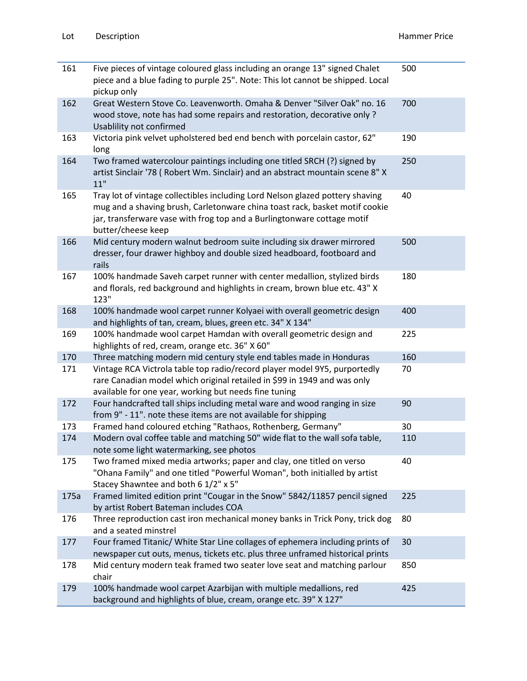| 161  | Five pieces of vintage coloured glass including an orange 13" signed Chalet<br>piece and a blue fading to purple 25". Note: This lot cannot be shipped. Local<br>pickup only                                                                                  | 500 |
|------|---------------------------------------------------------------------------------------------------------------------------------------------------------------------------------------------------------------------------------------------------------------|-----|
| 162  | Great Western Stove Co. Leavenworth. Omaha & Denver "Silver Oak" no. 16<br>wood stove, note has had some repairs and restoration, decorative only?<br>Usablility not confirmed                                                                                | 700 |
| 163  | Victoria pink velvet upholstered bed end bench with porcelain castor, 62"<br>long                                                                                                                                                                             | 190 |
| 164  | Two framed watercolour paintings including one titled SRCH (?) signed by<br>artist Sinclair '78 ( Robert Wm. Sinclair) and an abstract mountain scene 8" X<br>11"                                                                                             | 250 |
| 165  | Tray lot of vintage collectibles including Lord Nelson glazed pottery shaving<br>mug and a shaving brush, Carletonware china toast rack, basket motif cookie<br>jar, transferware vase with frog top and a Burlingtonware cottage motif<br>butter/cheese keep | 40  |
| 166  | Mid century modern walnut bedroom suite including six drawer mirrored<br>dresser, four drawer highboy and double sized headboard, footboard and<br>rails                                                                                                      | 500 |
| 167  | 100% handmade Saveh carpet runner with center medallion, stylized birds<br>and florals, red background and highlights in cream, brown blue etc. 43" X<br>123"                                                                                                 | 180 |
| 168  | 100% handmade wool carpet runner Kolyaei with overall geometric design<br>and highlights of tan, cream, blues, green etc. 34" X 134"                                                                                                                          | 400 |
| 169  | 100% handmade wool carpet Hamdan with overall geometric design and<br>highlights of red, cream, orange etc. 36" X 60"                                                                                                                                         | 225 |
| 170  | Three matching modern mid century style end tables made in Honduras                                                                                                                                                                                           | 160 |
| 171  | Vintage RCA Victrola table top radio/record player model 9Y5, purportedly<br>rare Canadian model which original retailed in \$99 in 1949 and was only<br>available for one year, working but needs fine tuning                                                | 70  |
| 172  | Four handcrafted tall ships including metal ware and wood ranging in size<br>from 9" - 11". note these items are not available for shipping                                                                                                                   | 90  |
| 173  | Framed hand coloured etching "Rathaos, Rothenberg, Germany"                                                                                                                                                                                                   | 30  |
| 174  | Modern oval coffee table and matching 50" wide flat to the wall sofa table,<br>note some light watermarking, see photos                                                                                                                                       | 110 |
| 175  | Two framed mixed media artworks; paper and clay, one titled on verso<br>"Ohana Family" and one titled "Powerful Woman", both initialled by artist<br>Stacey Shawntee and both 6 1/2" x 5"                                                                     | 40  |
| 175a | Framed limited edition print "Cougar in the Snow" 5842/11857 pencil signed<br>by artist Robert Bateman includes COA                                                                                                                                           | 225 |
| 176  | Three reproduction cast iron mechanical money banks in Trick Pony, trick dog<br>and a seated minstrel                                                                                                                                                         | 80  |
| 177  | Four framed Titanic/ White Star Line collages of ephemera including prints of<br>newspaper cut outs, menus, tickets etc. plus three unframed historical prints                                                                                                | 30  |
| 178  | Mid century modern teak framed two seater love seat and matching parlour<br>chair                                                                                                                                                                             | 850 |
| 179  | 100% handmade wool carpet Azarbijan with multiple medallions, red<br>background and highlights of blue, cream, orange etc. 39" X 127"                                                                                                                         | 425 |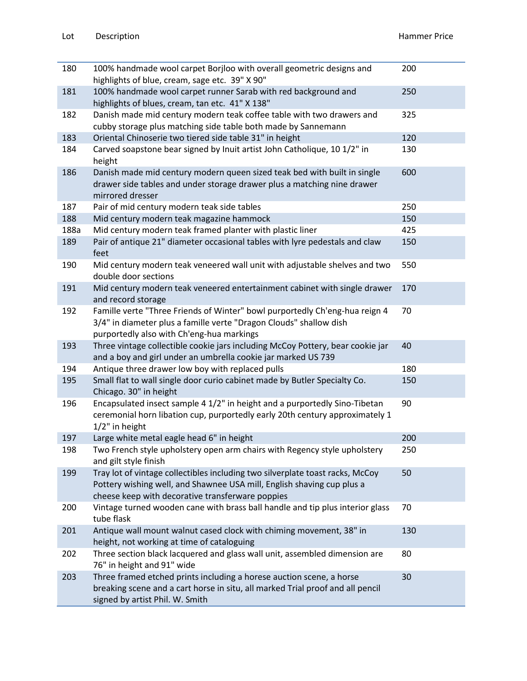| 180  | 100% handmade wool carpet Borjloo with overall geometric designs and<br>highlights of blue, cream, sage etc. 39" X 90"                                                                                      | 200 |
|------|-------------------------------------------------------------------------------------------------------------------------------------------------------------------------------------------------------------|-----|
| 181  | 100% handmade wool carpet runner Sarab with red background and<br>highlights of blues, cream, tan etc. 41" X 138"                                                                                           | 250 |
| 182  | Danish made mid century modern teak coffee table with two drawers and<br>cubby storage plus matching side table both made by Sannemann                                                                      | 325 |
| 183  | Oriental Chinoserie two tiered side table 31" in height                                                                                                                                                     | 120 |
| 184  | Carved soapstone bear signed by Inuit artist John Catholique, 10 1/2" in<br>height                                                                                                                          | 130 |
| 186  | Danish made mid century modern queen sized teak bed with built in single<br>drawer side tables and under storage drawer plus a matching nine drawer<br>mirrored dresser                                     | 600 |
| 187  | Pair of mid century modern teak side tables                                                                                                                                                                 | 250 |
| 188  | Mid century modern teak magazine hammock                                                                                                                                                                    | 150 |
| 188a | Mid century modern teak framed planter with plastic liner                                                                                                                                                   | 425 |
| 189  | Pair of antique 21" diameter occasional tables with lyre pedestals and claw<br>feet                                                                                                                         | 150 |
| 190  | Mid century modern teak veneered wall unit with adjustable shelves and two<br>double door sections                                                                                                          | 550 |
| 191  | Mid century modern teak veneered entertainment cabinet with single drawer<br>and record storage                                                                                                             | 170 |
| 192  | Famille verte "Three Friends of Winter" bowl purportedly Ch'eng-hua reign 4<br>3/4" in diameter plus a famille verte "Dragon Clouds" shallow dish<br>purportedly also with Ch'eng-hua markings              | 70  |
| 193  | Three vintage collectible cookie jars including McCoy Pottery, bear cookie jar<br>and a boy and girl under an umbrella cookie jar marked US 739                                                             | 40  |
| 194  | Antique three drawer low boy with replaced pulls                                                                                                                                                            | 180 |
| 195  | Small flat to wall single door curio cabinet made by Butler Specialty Co.<br>Chicago. 30" in height                                                                                                         | 150 |
| 196  | Encapsulated insect sample 4 1/2" in height and a purportedly Sino-Tibetan<br>ceremonial horn libation cup, purportedly early 20th century approximately 1<br>1/2" in height                                | 90  |
| 197  | Large white metal eagle head 6" in height                                                                                                                                                                   | 200 |
| 198  | Two French style upholstery open arm chairs with Regency style upholstery<br>and gilt style finish                                                                                                          | 250 |
| 199  | Tray lot of vintage collectibles including two silverplate toast racks, McCoy<br>Pottery wishing well, and Shawnee USA mill, English shaving cup plus a<br>cheese keep with decorative transferware poppies | 50  |
| 200  | Vintage turned wooden cane with brass ball handle and tip plus interior glass<br>tube flask                                                                                                                 | 70  |
| 201  | Antique wall mount walnut cased clock with chiming movement, 38" in<br>height, not working at time of cataloguing                                                                                           | 130 |
| 202  | Three section black lacquered and glass wall unit, assembled dimension are<br>76" in height and 91" wide                                                                                                    | 80  |
| 203  | Three framed etched prints including a horese auction scene, a horse<br>breaking scene and a cart horse in situ, all marked Trial proof and all pencil<br>signed by artist Phil. W. Smith                   | 30  |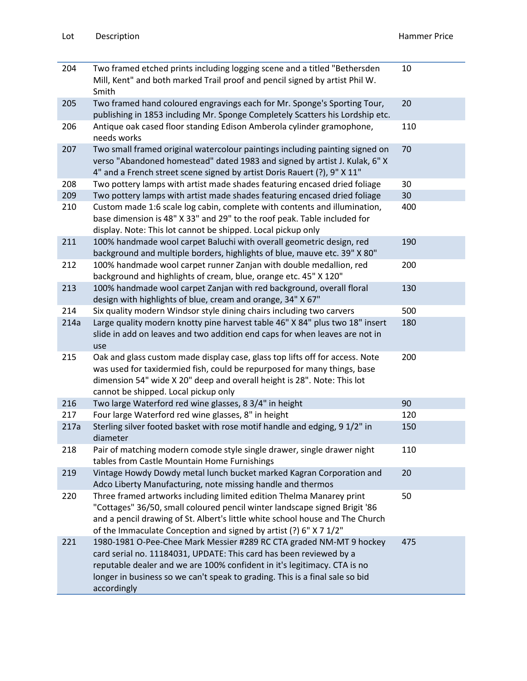| 204  | Two framed etched prints including logging scene and a titled "Bethersden<br>Mill, Kent" and both marked Trail proof and pencil signed by artist Phil W.<br>Smith                                                                                                                                                    | 10  |
|------|----------------------------------------------------------------------------------------------------------------------------------------------------------------------------------------------------------------------------------------------------------------------------------------------------------------------|-----|
| 205  | Two framed hand coloured engravings each for Mr. Sponge's Sporting Tour,<br>publishing in 1853 including Mr. Sponge Completely Scatters his Lordship etc.                                                                                                                                                            | 20  |
| 206  | Antique oak cased floor standing Edison Amberola cylinder gramophone,<br>needs works                                                                                                                                                                                                                                 | 110 |
| 207  | Two small framed original watercolour paintings including painting signed on<br>verso "Abandoned homestead" dated 1983 and signed by artist J. Kulak, 6" X<br>4" and a French street scene signed by artist Doris Rauert (?), 9" X 11"                                                                               | 70  |
| 208  | Two pottery lamps with artist made shades featuring encased dried foliage                                                                                                                                                                                                                                            | 30  |
| 209  | Two pottery lamps with artist made shades featuring encased dried foliage                                                                                                                                                                                                                                            | 30  |
| 210  | Custom made 1:6 scale log cabin, complete with contents and illumination,<br>base dimension is 48" X 33" and 29" to the roof peak. Table included for<br>display. Note: This lot cannot be shipped. Local pickup only                                                                                                | 400 |
| 211  | 100% handmade wool carpet Baluchi with overall geometric design, red<br>background and multiple borders, highlights of blue, mauve etc. 39" X 80"                                                                                                                                                                    | 190 |
| 212  | 100% handmade wool carpet runner Zanjan with double medallion, red<br>background and highlights of cream, blue, orange etc. 45" X 120"                                                                                                                                                                               | 200 |
| 213  | 100% handmade wool carpet Zanjan with red background, overall floral<br>design with highlights of blue, cream and orange, 34" X 67"                                                                                                                                                                                  | 130 |
| 214  | Six quality modern Windsor style dining chairs including two carvers                                                                                                                                                                                                                                                 | 500 |
| 214a | Large quality modern knotty pine harvest table 46" X 84" plus two 18" insert<br>slide in add on leaves and two addition end caps for when leaves are not in<br>use                                                                                                                                                   | 180 |
| 215  | Oak and glass custom made display case, glass top lifts off for access. Note<br>was used for taxidermied fish, could be repurposed for many things, base<br>dimension 54" wide X 20" deep and overall height is 28". Note: This lot<br>cannot be shipped. Local pickup only                                          | 200 |
| 216  | Two large Waterford red wine glasses, 8 3/4" in height                                                                                                                                                                                                                                                               | 90  |
| 217  | Four large Waterford red wine glasses, 8" in height                                                                                                                                                                                                                                                                  | 120 |
| 217a | Sterling silver footed basket with rose motif handle and edging, 9 1/2" in<br>diameter                                                                                                                                                                                                                               | 150 |
| 218  | Pair of matching modern comode style single drawer, single drawer night<br>tables from Castle Mountain Home Furnishings                                                                                                                                                                                              | 110 |
| 219  | Vintage Howdy Dowdy metal lunch bucket marked Kagran Corporation and<br>Adco Liberty Manufacturing, note missing handle and thermos                                                                                                                                                                                  | 20  |
| 220  | Three framed artworks including limited edition Thelma Manarey print<br>"Cottages" 36/50, small coloured pencil winter landscape signed Brigit '86<br>and a pencil drawing of St. Albert's little white school house and The Church<br>of the Immaculate Conception and signed by artist (?) 6" X 7 1/2"             | 50  |
| 221  | 1980-1981 O-Pee-Chee Mark Messier #289 RC CTA graded NM-MT 9 hockey<br>card serial no. 11184031, UPDATE: This card has been reviewed by a<br>reputable dealer and we are 100% confident in it's legitimacy. CTA is no<br>longer in business so we can't speak to grading. This is a final sale so bid<br>accordingly | 475 |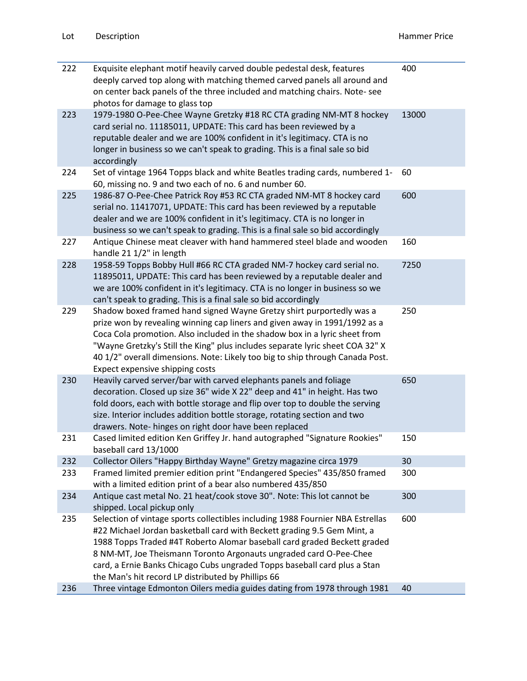| 222 | Exquisite elephant motif heavily carved double pedestal desk, features<br>deeply carved top along with matching themed carved panels all around and<br>on center back panels of the three included and matching chairs. Note-see<br>photos for damage to glass top                                                                                                                                                                            | 400   |
|-----|-----------------------------------------------------------------------------------------------------------------------------------------------------------------------------------------------------------------------------------------------------------------------------------------------------------------------------------------------------------------------------------------------------------------------------------------------|-------|
| 223 | 1979-1980 O-Pee-Chee Wayne Gretzky #18 RC CTA grading NM-MT 8 hockey<br>card serial no. 11185011, UPDATE: This card has been reviewed by a<br>reputable dealer and we are 100% confident in it's legitimacy. CTA is no<br>longer in business so we can't speak to grading. This is a final sale so bid<br>accordingly                                                                                                                         | 13000 |
| 224 | Set of vintage 1964 Topps black and white Beatles trading cards, numbered 1-<br>60, missing no. 9 and two each of no. 6 and number 60.                                                                                                                                                                                                                                                                                                        | 60    |
| 225 | 1986-87 O-Pee-Chee Patrick Roy #53 RC CTA graded NM-MT 8 hockey card<br>serial no. 11417071, UPDATE: This card has been reviewed by a reputable<br>dealer and we are 100% confident in it's legitimacy. CTA is no longer in<br>business so we can't speak to grading. This is a final sale so bid accordingly                                                                                                                                 | 600   |
| 227 | Antique Chinese meat cleaver with hand hammered steel blade and wooden<br>handle 21 1/2" in length                                                                                                                                                                                                                                                                                                                                            | 160   |
| 228 | 1958-59 Topps Bobby Hull #66 RC CTA graded NM-7 hockey card serial no.<br>11895011, UPDATE: This card has been reviewed by a reputable dealer and<br>we are 100% confident in it's legitimacy. CTA is no longer in business so we<br>can't speak to grading. This is a final sale so bid accordingly                                                                                                                                          | 7250  |
| 229 | Shadow boxed framed hand signed Wayne Gretzy shirt purportedly was a<br>prize won by revealing winning cap liners and given away in 1991/1992 as a<br>Coca Cola promotion. Also included in the shadow box in a lyric sheet from<br>"Wayne Gretzky's Still the King" plus includes separate lyric sheet COA 32" X<br>40 1/2" overall dimensions. Note: Likely too big to ship through Canada Post.<br>Expect expensive shipping costs         | 250   |
| 230 | Heavily carved server/bar with carved elephants panels and foliage<br>decoration. Closed up size 36" wide X 22" deep and 41" in height. Has two<br>fold doors, each with bottle storage and flip over top to double the serving<br>size. Interior includes addition bottle storage, rotating section and two<br>drawers. Note- hinges on right door have been replaced                                                                        | 650   |
| 231 | Cased limited edition Ken Griffey Jr. hand autographed "Signature Rookies"<br>baseball card 13/1000                                                                                                                                                                                                                                                                                                                                           | 150   |
| 232 | Collector Oilers "Happy Birthday Wayne" Gretzy magazine circa 1979                                                                                                                                                                                                                                                                                                                                                                            | 30    |
| 233 | Framed limited premier edition print "Endangered Species" 435/850 framed<br>with a limited edition print of a bear also numbered 435/850                                                                                                                                                                                                                                                                                                      | 300   |
| 234 | Antique cast metal No. 21 heat/cook stove 30". Note: This lot cannot be<br>shipped. Local pickup only                                                                                                                                                                                                                                                                                                                                         | 300   |
| 235 | Selection of vintage sports collectibles including 1988 Fournier NBA Estrellas<br>#22 Michael Jordan basketball card with Beckett grading 9.5 Gem Mint, a<br>1988 Topps Traded #4T Roberto Alomar baseball card graded Beckett graded<br>8 NM-MT, Joe Theismann Toronto Argonauts ungraded card O-Pee-Chee<br>card, a Ernie Banks Chicago Cubs ungraded Topps baseball card plus a Stan<br>the Man's hit record LP distributed by Phillips 66 | 600   |
| 236 | Three vintage Edmonton Oilers media guides dating from 1978 through 1981                                                                                                                                                                                                                                                                                                                                                                      | 40    |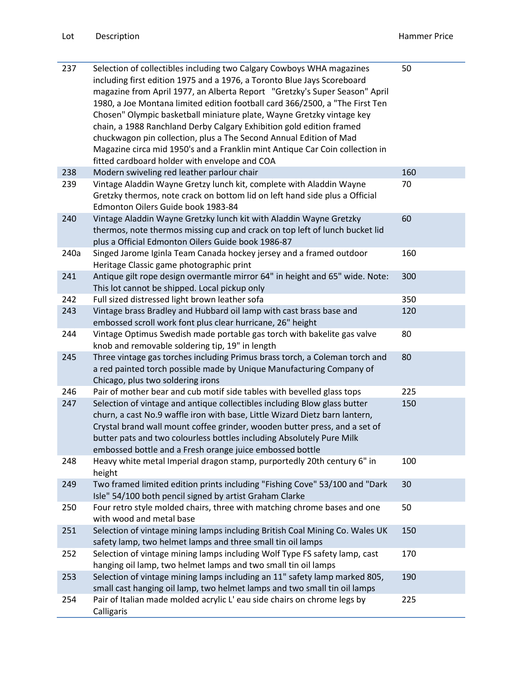| 237  | Selection of collectibles including two Calgary Cowboys WHA magazines<br>including first edition 1975 and a 1976, a Toronto Blue Jays Scoreboard<br>magazine from April 1977, an Alberta Report "Gretzky's Super Season" April<br>1980, a Joe Montana limited edition football card 366/2500, a "The First Ten<br>Chosen" Olympic basketball miniature plate, Wayne Gretzky vintage key<br>chain, a 1988 Ranchland Derby Calgary Exhibition gold edition framed<br>chuckwagon pin collection, plus a The Second Annual Edition of Mad<br>Magazine circa mid 1950's and a Franklin mint Antique Car Coin collection in<br>fitted cardboard holder with envelope and COA | 50  |
|------|------------------------------------------------------------------------------------------------------------------------------------------------------------------------------------------------------------------------------------------------------------------------------------------------------------------------------------------------------------------------------------------------------------------------------------------------------------------------------------------------------------------------------------------------------------------------------------------------------------------------------------------------------------------------|-----|
| 238  | Modern swiveling red leather parlour chair                                                                                                                                                                                                                                                                                                                                                                                                                                                                                                                                                                                                                             | 160 |
| 239  | Vintage Aladdin Wayne Gretzy lunch kit, complete with Aladdin Wayne<br>Gretzky thermos, note crack on bottom lid on left hand side plus a Official<br>Edmonton Oilers Guide book 1983-84                                                                                                                                                                                                                                                                                                                                                                                                                                                                               | 70  |
| 240  | Vintage Aladdin Wayne Gretzky lunch kit with Aladdin Wayne Gretzky<br>thermos, note thermos missing cup and crack on top left of lunch bucket lid<br>plus a Official Edmonton Oilers Guide book 1986-87                                                                                                                                                                                                                                                                                                                                                                                                                                                                | 60  |
| 240a | Singed Jarome Iginla Team Canada hockey jersey and a framed outdoor<br>Heritage Classic game photographic print                                                                                                                                                                                                                                                                                                                                                                                                                                                                                                                                                        | 160 |
| 241  | Antique gilt rope design overmantle mirror 64" in height and 65" wide. Note:<br>This lot cannot be shipped. Local pickup only                                                                                                                                                                                                                                                                                                                                                                                                                                                                                                                                          | 300 |
| 242  | Full sized distressed light brown leather sofa                                                                                                                                                                                                                                                                                                                                                                                                                                                                                                                                                                                                                         | 350 |
| 243  | Vintage brass Bradley and Hubbard oil lamp with cast brass base and<br>embossed scroll work font plus clear hurricane, 26" height                                                                                                                                                                                                                                                                                                                                                                                                                                                                                                                                      | 120 |
| 244  | Vintage Optimus Swedish made portable gas torch with bakelite gas valve<br>knob and removable soldering tip, 19" in length                                                                                                                                                                                                                                                                                                                                                                                                                                                                                                                                             | 80  |
| 245  | Three vintage gas torches including Primus brass torch, a Coleman torch and<br>a red painted torch possible made by Unique Manufacturing Company of<br>Chicago, plus two soldering irons                                                                                                                                                                                                                                                                                                                                                                                                                                                                               | 80  |
| 246  | Pair of mother bear and cub motif side tables with bevelled glass tops                                                                                                                                                                                                                                                                                                                                                                                                                                                                                                                                                                                                 | 225 |
| 247  | Selection of vintage and antique collectibles including Blow glass butter<br>churn, a cast No.9 waffle iron with base, Little Wizard Dietz barn lantern,<br>Crystal brand wall mount coffee grinder, wooden butter press, and a set of<br>butter pats and two colourless bottles including Absolutely Pure Milk<br>embossed bottle and a Fresh orange juice embossed bottle                                                                                                                                                                                                                                                                                            | 150 |
| 248  | Heavy white metal Imperial dragon stamp, purportedly 20th century 6" in<br>height                                                                                                                                                                                                                                                                                                                                                                                                                                                                                                                                                                                      | 100 |
| 249  | Two framed limited edition prints including "Fishing Cove" 53/100 and "Dark<br>Isle" 54/100 both pencil signed by artist Graham Clarke                                                                                                                                                                                                                                                                                                                                                                                                                                                                                                                                 | 30  |
| 250  | Four retro style molded chairs, three with matching chrome bases and one<br>with wood and metal base                                                                                                                                                                                                                                                                                                                                                                                                                                                                                                                                                                   | 50  |
| 251  | Selection of vintage mining lamps including British Coal Mining Co. Wales UK<br>safety lamp, two helmet lamps and three small tin oil lamps                                                                                                                                                                                                                                                                                                                                                                                                                                                                                                                            | 150 |
| 252  | Selection of vintage mining lamps including Wolf Type FS safety lamp, cast<br>hanging oil lamp, two helmet lamps and two small tin oil lamps                                                                                                                                                                                                                                                                                                                                                                                                                                                                                                                           | 170 |
| 253  | Selection of vintage mining lamps including an 11" safety lamp marked 805,<br>small cast hanging oil lamp, two helmet lamps and two small tin oil lamps                                                                                                                                                                                                                                                                                                                                                                                                                                                                                                                | 190 |
| 254  | Pair of Italian made molded acrylic L' eau side chairs on chrome legs by<br>Calligaris                                                                                                                                                                                                                                                                                                                                                                                                                                                                                                                                                                                 | 225 |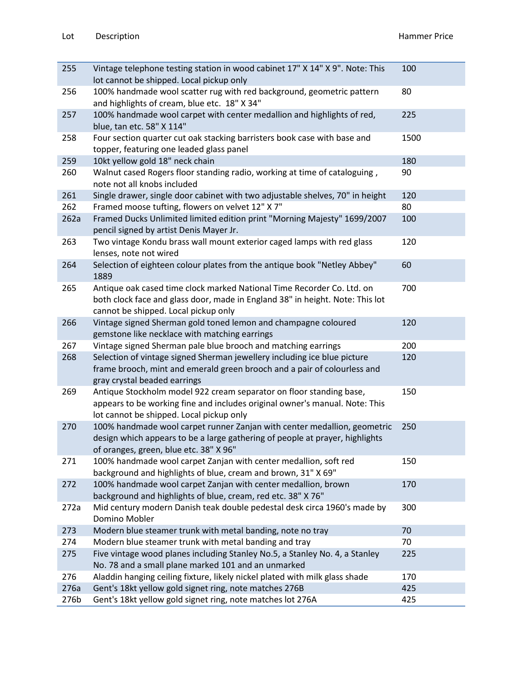| 255  | Vintage telephone testing station in wood cabinet 17" X 14" X 9". Note: This<br>lot cannot be shipped. Local pickup only                                                                           | 100  |
|------|----------------------------------------------------------------------------------------------------------------------------------------------------------------------------------------------------|------|
| 256  | 100% handmade wool scatter rug with red background, geometric pattern<br>and highlights of cream, blue etc. 18" X 34"                                                                              | 80   |
| 257  | 100% handmade wool carpet with center medallion and highlights of red,<br>blue, tan etc. 58" X 114"                                                                                                | 225  |
| 258  | Four section quarter cut oak stacking barristers book case with base and<br>topper, featuring one leaded glass panel                                                                               | 1500 |
| 259  | 10kt yellow gold 18" neck chain                                                                                                                                                                    | 180  |
| 260  | Walnut cased Rogers floor standing radio, working at time of cataloguing,<br>note not all knobs included                                                                                           | 90   |
| 261  | Single drawer, single door cabinet with two adjustable shelves, 70" in height                                                                                                                      | 120  |
| 262  | Framed moose tufting, flowers on velvet 12" X 7"                                                                                                                                                   | 80   |
| 262a | Framed Ducks Unlimited limited edition print "Morning Majesty" 1699/2007<br>pencil signed by artist Denis Mayer Jr.                                                                                | 100  |
| 263  | Two vintage Kondu brass wall mount exterior caged lamps with red glass<br>lenses, note not wired                                                                                                   | 120  |
| 264  | Selection of eighteen colour plates from the antique book "Netley Abbey"<br>1889                                                                                                                   | 60   |
| 265  | Antique oak cased time clock marked National Time Recorder Co. Ltd. on<br>both clock face and glass door, made in England 38" in height. Note: This lot<br>cannot be shipped. Local pickup only    | 700  |
| 266  | Vintage signed Sherman gold toned lemon and champagne coloured<br>gemstone like necklace with matching earrings                                                                                    | 120  |
| 267  | Vintage signed Sherman pale blue brooch and matching earrings                                                                                                                                      | 200  |
| 268  | Selection of vintage signed Sherman jewellery including ice blue picture<br>frame brooch, mint and emerald green brooch and a pair of colourless and<br>gray crystal beaded earrings               | 120  |
| 269  | Antique Stockholm model 922 cream separator on floor standing base,<br>appears to be working fine and includes original owner's manual. Note: This<br>lot cannot be shipped. Local pickup only     | 150  |
| 270  | 100% handmade wool carpet runner Zanjan with center medallion, geometric<br>design which appears to be a large gathering of people at prayer, highlights<br>of oranges, green, blue etc. 38" X 96" | 250  |
| 271  | 100% handmade wool carpet Zanjan with center medallion, soft red<br>background and highlights of blue, cream and brown, 31" X 69"                                                                  | 150  |
| 272  | 100% handmade wool carpet Zanjan with center medallion, brown<br>background and highlights of blue, cream, red etc. 38" X 76"                                                                      | 170  |
| 272a | Mid century modern Danish teak double pedestal desk circa 1960's made by<br>Domino Mobler                                                                                                          | 300  |
| 273  | Modern blue steamer trunk with metal banding, note no tray                                                                                                                                         | 70   |
| 274  | Modern blue steamer trunk with metal banding and tray                                                                                                                                              | 70   |
| 275  | Five vintage wood planes including Stanley No.5, a Stanley No. 4, a Stanley<br>No. 78 and a small plane marked 101 and an unmarked                                                                 | 225  |
| 276  | Aladdin hanging ceiling fixture, likely nickel plated with milk glass shade                                                                                                                        | 170  |
| 276a | Gent's 18kt yellow gold signet ring, note matches 276B                                                                                                                                             | 425  |
| 276b | Gent's 18kt yellow gold signet ring, note matches lot 276A                                                                                                                                         | 425  |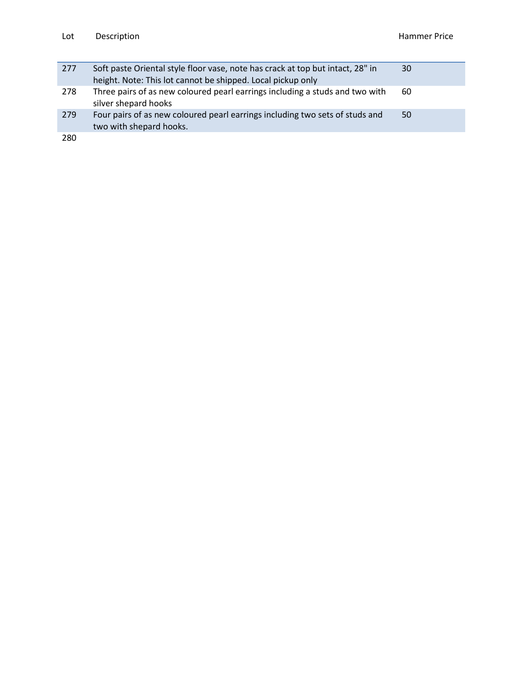| 277 | Soft paste Oriental style floor vase, note has crack at top but intact, 28" in<br>height. Note: This lot cannot be shipped. Local pickup only | 30 |
|-----|-----------------------------------------------------------------------------------------------------------------------------------------------|----|
| 278 | Three pairs of as new coloured pearl earrings including a studs and two with<br>silver shepard hooks                                          | 60 |
| 279 | Four pairs of as new coloured pearl earrings including two sets of studs and<br>two with shepard hooks.                                       | 50 |
| 280 |                                                                                                                                               |    |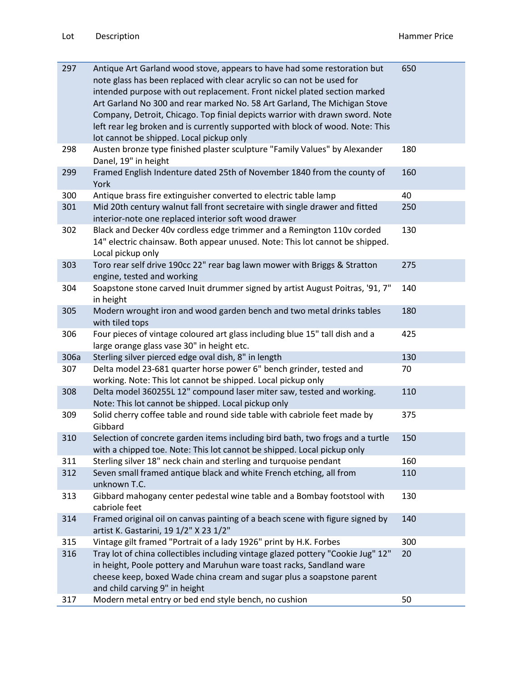| 297  | Antique Art Garland wood stove, appears to have had some restoration but<br>note glass has been replaced with clear acrylic so can not be used for<br>intended purpose with out replacement. Front nickel plated section marked<br>Art Garland No 300 and rear marked No. 58 Art Garland, The Michigan Stove<br>Company, Detroit, Chicago. Top finial depicts warrior with drawn sword. Note<br>left rear leg broken and is currently supported with block of wood. Note: This<br>lot cannot be shipped. Local pickup only | 650 |
|------|----------------------------------------------------------------------------------------------------------------------------------------------------------------------------------------------------------------------------------------------------------------------------------------------------------------------------------------------------------------------------------------------------------------------------------------------------------------------------------------------------------------------------|-----|
| 298  | Austen bronze type finished plaster sculpture "Family Values" by Alexander<br>Danel, 19" in height                                                                                                                                                                                                                                                                                                                                                                                                                         | 180 |
| 299  | Framed English Indenture dated 25th of November 1840 from the county of<br>York                                                                                                                                                                                                                                                                                                                                                                                                                                            | 160 |
| 300  | Antique brass fire extinguisher converted to electric table lamp                                                                                                                                                                                                                                                                                                                                                                                                                                                           | 40  |
| 301  | Mid 20th century walnut fall front secretaire with single drawer and fitted<br>interior-note one replaced interior soft wood drawer                                                                                                                                                                                                                                                                                                                                                                                        | 250 |
| 302  | Black and Decker 40v cordless edge trimmer and a Remington 110v corded<br>14" electric chainsaw. Both appear unused. Note: This lot cannot be shipped.<br>Local pickup only                                                                                                                                                                                                                                                                                                                                                | 130 |
| 303  | Toro rear self drive 190cc 22" rear bag lawn mower with Briggs & Stratton<br>engine, tested and working                                                                                                                                                                                                                                                                                                                                                                                                                    | 275 |
| 304  | Soapstone stone carved Inuit drummer signed by artist August Poitras, '91, 7"<br>in height                                                                                                                                                                                                                                                                                                                                                                                                                                 | 140 |
| 305  | Modern wrought iron and wood garden bench and two metal drinks tables<br>with tiled tops                                                                                                                                                                                                                                                                                                                                                                                                                                   | 180 |
| 306  | Four pieces of vintage coloured art glass including blue 15" tall dish and a<br>large orange glass vase 30" in height etc.                                                                                                                                                                                                                                                                                                                                                                                                 | 425 |
| 306a | Sterling silver pierced edge oval dish, 8" in length                                                                                                                                                                                                                                                                                                                                                                                                                                                                       | 130 |
| 307  | Delta model 23-681 quarter horse power 6" bench grinder, tested and<br>working. Note: This lot cannot be shipped. Local pickup only                                                                                                                                                                                                                                                                                                                                                                                        | 70  |
| 308  | Delta model 360255L 12" compound laser miter saw, tested and working.<br>Note: This lot cannot be shipped. Local pickup only                                                                                                                                                                                                                                                                                                                                                                                               | 110 |
| 309  | Solid cherry coffee table and round side table with cabriole feet made by<br>Gibbard                                                                                                                                                                                                                                                                                                                                                                                                                                       | 375 |
| 310  | Selection of concrete garden items including bird bath, two frogs and a turtle<br>with a chipped toe. Note: This lot cannot be shipped. Local pickup only                                                                                                                                                                                                                                                                                                                                                                  | 150 |
| 311  | Sterling silver 18" neck chain and sterling and turquoise pendant                                                                                                                                                                                                                                                                                                                                                                                                                                                          | 160 |
| 312  | Seven small framed antique black and white French etching, all from<br>unknown T.C.                                                                                                                                                                                                                                                                                                                                                                                                                                        | 110 |
| 313  | Gibbard mahogany center pedestal wine table and a Bombay footstool with<br>cabriole feet                                                                                                                                                                                                                                                                                                                                                                                                                                   | 130 |
| 314  | Framed original oil on canvas painting of a beach scene with figure signed by<br>artist K. Gastarini, 19 1/2" X 23 1/2"                                                                                                                                                                                                                                                                                                                                                                                                    | 140 |
| 315  | Vintage gilt framed "Portrait of a lady 1926" print by H.K. Forbes                                                                                                                                                                                                                                                                                                                                                                                                                                                         | 300 |
| 316  | Tray lot of china collectibles including vintage glazed pottery "Cookie Jug" 12"<br>in height, Poole pottery and Maruhun ware toast racks, Sandland ware<br>cheese keep, boxed Wade china cream and sugar plus a soapstone parent<br>and child carving 9" in height                                                                                                                                                                                                                                                        | 20  |
| 317  | Modern metal entry or bed end style bench, no cushion                                                                                                                                                                                                                                                                                                                                                                                                                                                                      | 50  |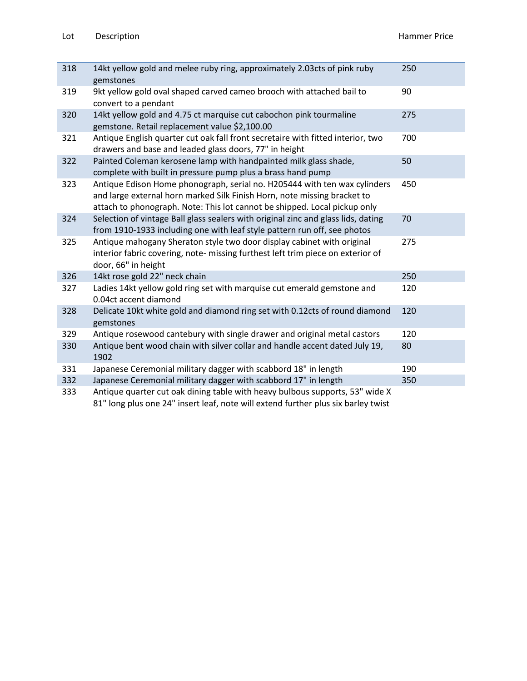| 14kt yellow gold and melee ruby ring, approximately 2.03cts of pink ruby                                                                                                                                                               | 250 |
|----------------------------------------------------------------------------------------------------------------------------------------------------------------------------------------------------------------------------------------|-----|
| gemstones                                                                                                                                                                                                                              |     |
| 9kt yellow gold oval shaped carved cameo brooch with attached bail to<br>convert to a pendant                                                                                                                                          | 90  |
| 14kt yellow gold and 4.75 ct marquise cut cabochon pink tourmaline<br>gemstone. Retail replacement value \$2,100.00                                                                                                                    | 275 |
| Antique English quarter cut oak fall front secretaire with fitted interior, two 700<br>drawers and base and leaded glass doors, 77" in height                                                                                          |     |
| Painted Coleman kerosene lamp with handpainted milk glass shade,<br>complete with built in pressure pump plus a brass hand pump                                                                                                        | 50  |
| Antique Edison Home phonograph, serial no. H205444 with ten wax cylinders 450<br>and large external horn marked Silk Finish Horn, note missing bracket to<br>attach to phonograph. Note: This lot cannot be shipped. Local pickup only |     |
| Selection of vintage Ball glass sealers with original zinc and glass lids, dating 70<br>from 1910-1933 including one with leaf style pattern run off, see photos                                                                       |     |
| Antique mahogany Sheraton style two door display cabinet with original<br>interior fabric covering, note- missing furthest left trim piece on exterior of<br>door, 66" in height                                                       | 275 |
| 14kt rose gold 22" neck chain                                                                                                                                                                                                          | 250 |
| Ladies 14kt yellow gold ring set with marquise cut emerald gemstone and<br>0.04ct accent diamond                                                                                                                                       | 120 |
| Delicate 10kt white gold and diamond ring set with 0.12cts of round diamond 120<br>gemstones                                                                                                                                           |     |
| Antique rosewood cantebury with single drawer and original metal castors                                                                                                                                                               | 120 |
| Antique bent wood chain with silver collar and handle accent dated July 19, 80<br>1902                                                                                                                                                 |     |
| Japanese Ceremonial military dagger with scabbord 18" in length                                                                                                                                                                        | 190 |
| Japanese Ceremonial military dagger with scabbord 17" in length                                                                                                                                                                        | 350 |
| Antique quarter cut oak dining table with heavy bulbous supports, 53" wide X                                                                                                                                                           |     |

81" long plus one 24" insert leaf, note will extend further plus six barley twist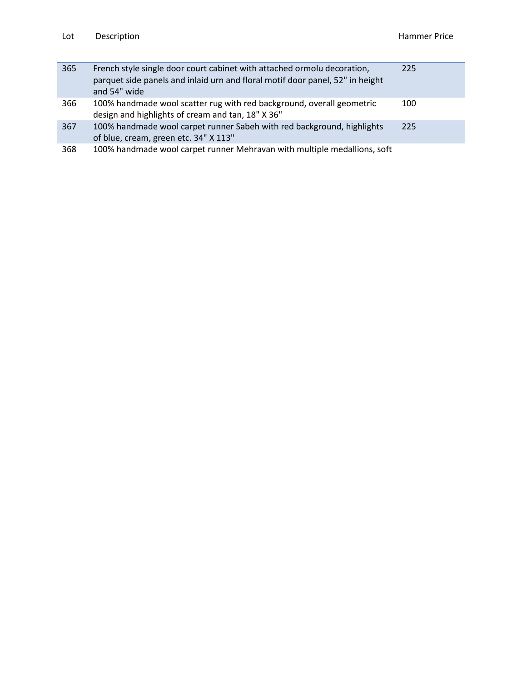| 365 | French style single door court cabinet with attached ormolu decoration,<br>parquet side panels and inlaid urn and floral motif door panel, 52" in height<br>and 54" wide | 225 |
|-----|--------------------------------------------------------------------------------------------------------------------------------------------------------------------------|-----|
| 366 | 100% handmade wool scatter rug with red background, overall geometric<br>design and highlights of cream and tan, 18" X 36"                                               | 100 |
| 367 | 100% handmade wool carpet runner Sabeh with red background, highlights<br>of blue, cream, green etc. 34" X 113"                                                          | 225 |
| 368 | 100% handmade wool carpet runner Mehravan with multiple medallions, soft<br>tones o 0 1 108.26.2 Tm0(m)-1(, gr)13(ee)-3(n)3(e)7(,(u)u)173(sin)5enc.ETQq1                 |     |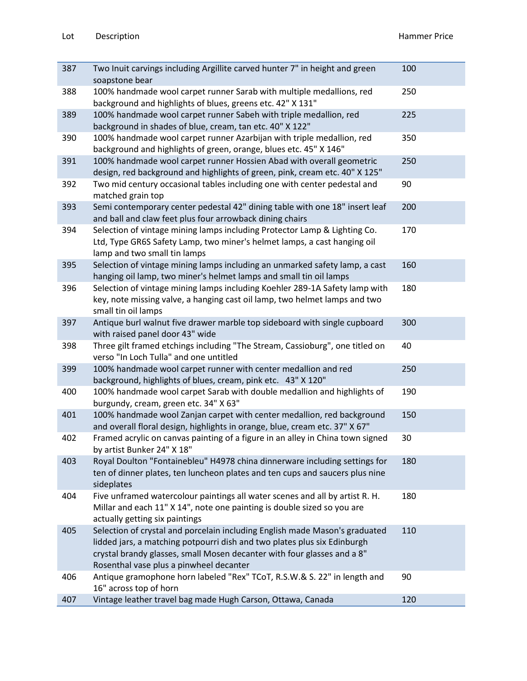| 387 | Two Inuit carvings including Argillite carved hunter 7" in height and green<br>soapstone bear                                                                                                                                                                                 | 100 |
|-----|-------------------------------------------------------------------------------------------------------------------------------------------------------------------------------------------------------------------------------------------------------------------------------|-----|
| 388 | 100% handmade wool carpet runner Sarab with multiple medallions, red<br>background and highlights of blues, greens etc. 42" X 131"                                                                                                                                            | 250 |
| 389 | 100% handmade wool carpet runner Sabeh with triple medallion, red<br>background in shades of blue, cream, tan etc. 40" X 122"                                                                                                                                                 | 225 |
| 390 | 100% handmade wool carpet runner Azarbijan with triple medallion, red<br>background and highlights of green, orange, blues etc. 45" X 146"                                                                                                                                    | 350 |
| 391 | 100% handmade wool carpet runner Hossien Abad with overall geometric<br>design, red background and highlights of green, pink, cream etc. 40" X 125"                                                                                                                           | 250 |
| 392 | Two mid century occasional tables including one with center pedestal and<br>matched grain top                                                                                                                                                                                 | 90  |
| 393 | Semi contemporary center pedestal 42" dining table with one 18" insert leaf<br>and ball and claw feet plus four arrowback dining chairs                                                                                                                                       | 200 |
| 394 | Selection of vintage mining lamps including Protector Lamp & Lighting Co.<br>Ltd, Type GR6S Safety Lamp, two miner's helmet lamps, a cast hanging oil<br>lamp and two small tin lamps                                                                                         | 170 |
| 395 | Selection of vintage mining lamps including an unmarked safety lamp, a cast<br>hanging oil lamp, two miner's helmet lamps and small tin oil lamps                                                                                                                             | 160 |
| 396 | Selection of vintage mining lamps including Koehler 289-1A Safety lamp with<br>key, note missing valve, a hanging cast oil lamp, two helmet lamps and two<br>small tin oil lamps                                                                                              | 180 |
| 397 | Antique burl walnut five drawer marble top sideboard with single cupboard<br>with raised panel door 43" wide                                                                                                                                                                  | 300 |
| 398 | Three gilt framed etchings including "The Stream, Cassioburg", one titled on<br>verso "In Loch Tulla" and one untitled                                                                                                                                                        | 40  |
| 399 | 100% handmade wool carpet runner with center medallion and red<br>background, highlights of blues, cream, pink etc. 43" X 120"                                                                                                                                                | 250 |
| 400 | 100% handmade wool carpet Sarab with double medallion and highlights of<br>burgundy, cream, green etc. 34" X 63"                                                                                                                                                              | 190 |
| 401 | 100% handmade wool Zanjan carpet with center medallion, red background<br>and overall floral design, highlights in orange, blue, cream etc. 37" X 67"                                                                                                                         | 150 |
| 402 | Framed acrylic on canvas painting of a figure in an alley in China town signed<br>by artist Bunker 24" X 18"                                                                                                                                                                  | 30  |
| 403 | Royal Doulton "Fontainebleu" H4978 china dinnerware including settings for<br>ten of dinner plates, ten luncheon plates and ten cups and saucers plus nine<br>sideplates                                                                                                      | 180 |
| 404 | Five unframed watercolour paintings all water scenes and all by artist R. H.<br>Millar and each 11" X 14", note one painting is double sized so you are<br>actually getting six paintings                                                                                     | 180 |
| 405 | Selection of crystal and porcelain including English made Mason's graduated<br>lidded jars, a matching potpourri dish and two plates plus six Edinburgh<br>crystal brandy glasses, small Mosen decanter with four glasses and a 8"<br>Rosenthal vase plus a pinwheel decanter | 110 |
| 406 | Antique gramophone horn labeled "Rex" TCoT, R.S.W.& S. 22" in length and<br>16" across top of horn                                                                                                                                                                            | 90  |
| 407 | Vintage leather travel bag made Hugh Carson, Ottawa, Canada                                                                                                                                                                                                                   | 120 |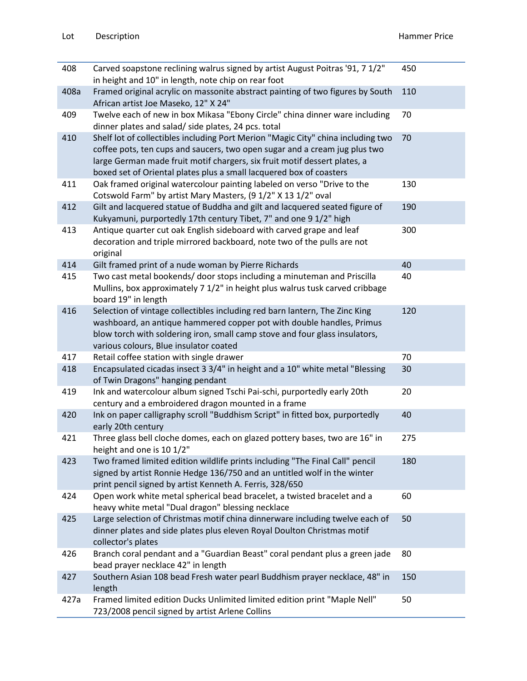| 408  | Carved soapstone reclining walrus signed by artist August Poitras '91, 7 1/2"<br>in height and 10" in length, note chip on rear foot                                                                                                                                                                               | 450 |
|------|--------------------------------------------------------------------------------------------------------------------------------------------------------------------------------------------------------------------------------------------------------------------------------------------------------------------|-----|
| 408a | Framed original acrylic on massonite abstract painting of two figures by South<br>African artist Joe Maseko, 12" X 24"                                                                                                                                                                                             | 110 |
| 409  | Twelve each of new in box Mikasa "Ebony Circle" china dinner ware including<br>dinner plates and salad/ side plates, 24 pcs. total                                                                                                                                                                                 | 70  |
| 410  | Shelf lot of collectibles including Port Merion "Magic City" china including two<br>coffee pots, ten cups and saucers, two open sugar and a cream jug plus two<br>large German made fruit motif chargers, six fruit motif dessert plates, a<br>boxed set of Oriental plates plus a small lacquered box of coasters | 70  |
| 411  | Oak framed original watercolour painting labeled on verso "Drive to the<br>Cotswold Farm" by artist Mary Masters, (9 1/2" X 13 1/2" oval                                                                                                                                                                           | 130 |
| 412  | Gilt and lacquered statue of Buddha and gilt and lacquered seated figure of<br>Kukyamuni, purportedly 17th century Tibet, 7" and one 9 1/2" high                                                                                                                                                                   | 190 |
| 413  | Antique quarter cut oak English sideboard with carved grape and leaf<br>decoration and triple mirrored backboard, note two of the pulls are not<br>original                                                                                                                                                        | 300 |
| 414  | Gilt framed print of a nude woman by Pierre Richards                                                                                                                                                                                                                                                               | 40  |
| 415  | Two cast metal bookends/ door stops including a minuteman and Priscilla<br>Mullins, box approximately 7 1/2" in height plus walrus tusk carved cribbage<br>board 19" in length                                                                                                                                     | 40  |
| 416  | Selection of vintage collectibles including red barn lantern, The Zinc King<br>washboard, an antique hammered copper pot with double handles, Primus<br>blow torch with soldering iron, small camp stove and four glass insulators,<br>various colours, Blue insulator coated                                      | 120 |
| 417  | Retail coffee station with single drawer                                                                                                                                                                                                                                                                           | 70  |
| 418  | Encapsulated cicadas insect 3 3/4" in height and a 10" white metal "Blessing<br>of Twin Dragons" hanging pendant                                                                                                                                                                                                   | 30  |
| 419  | Ink and watercolour album signed Tschi Pai-schi, purportedly early 20th<br>century and a embroidered dragon mounted in a frame                                                                                                                                                                                     | 20  |
| 420  | Ink on paper calligraphy scroll "Buddhism Script" in fitted box, purportedly<br>early 20th century                                                                                                                                                                                                                 | 40  |
| 421  | Three glass bell cloche domes, each on glazed pottery bases, two are 16" in<br>height and one is 10 1/2"                                                                                                                                                                                                           | 275 |
| 423  | Two framed limited edition wildlife prints including "The Final Call" pencil<br>signed by artist Ronnie Hedge 136/750 and an untitled wolf in the winter<br>print pencil signed by artist Kenneth A. Ferris, 328/650                                                                                               | 180 |
| 424  | Open work white metal spherical bead bracelet, a twisted bracelet and a<br>heavy white metal "Dual dragon" blessing necklace                                                                                                                                                                                       | 60  |
| 425  | Large selection of Christmas motif china dinnerware including twelve each of<br>dinner plates and side plates plus eleven Royal Doulton Christmas motif<br>collector's plates                                                                                                                                      | 50  |
| 426  | Branch coral pendant and a "Guardian Beast" coral pendant plus a green jade<br>bead prayer necklace 42" in length                                                                                                                                                                                                  | 80  |
| 427  | Southern Asian 108 bead Fresh water pearl Buddhism prayer necklace, 48" in<br>length                                                                                                                                                                                                                               | 150 |
| 427a | Framed limited edition Ducks Unlimited limited edition print "Maple Nell"<br>723/2008 pencil signed by artist Arlene Collins                                                                                                                                                                                       | 50  |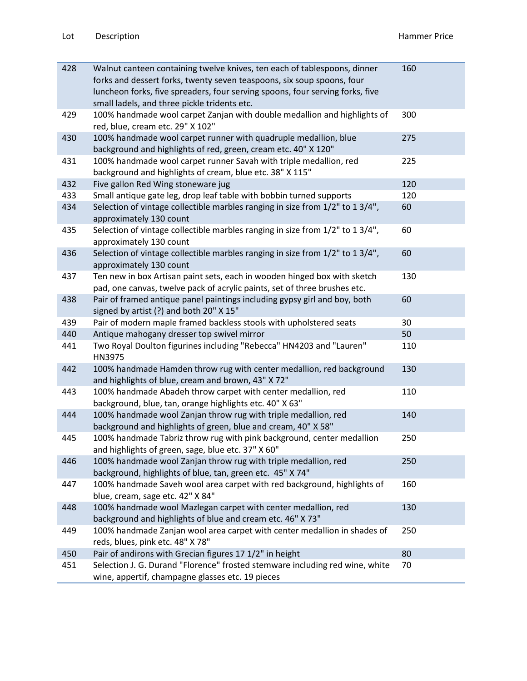| 428 | Walnut canteen containing twelve knives, ten each of tablespoons, dinner<br>forks and dessert forks, twenty seven teaspoons, six soup spoons, four<br>luncheon forks, five spreaders, four serving spoons, four serving forks, five<br>small ladels, and three pickle tridents etc. | 160 |
|-----|-------------------------------------------------------------------------------------------------------------------------------------------------------------------------------------------------------------------------------------------------------------------------------------|-----|
| 429 | 100% handmade wool carpet Zanjan with double medallion and highlights of<br>red, blue, cream etc. 29" X 102"                                                                                                                                                                        | 300 |
| 430 | 100% handmade wool carpet runner with quadruple medallion, blue<br>background and highlights of red, green, cream etc. 40" X 120"                                                                                                                                                   | 275 |
| 431 | 100% handmade wool carpet runner Savah with triple medallion, red<br>background and highlights of cream, blue etc. 38" X 115"                                                                                                                                                       | 225 |
| 432 | Five gallon Red Wing stoneware jug                                                                                                                                                                                                                                                  | 120 |
| 433 | Small antique gate leg, drop leaf table with bobbin turned supports                                                                                                                                                                                                                 | 120 |
| 434 | Selection of vintage collectible marbles ranging in size from 1/2" to 1 3/4",<br>approximately 130 count                                                                                                                                                                            | 60  |
| 435 | Selection of vintage collectible marbles ranging in size from 1/2" to 1 3/4",<br>approximately 130 count                                                                                                                                                                            | 60  |
| 436 | Selection of vintage collectible marbles ranging in size from 1/2" to 1 3/4",<br>approximately 130 count                                                                                                                                                                            | 60  |
| 437 | Ten new in box Artisan paint sets, each in wooden hinged box with sketch<br>pad, one canvas, twelve pack of acrylic paints, set of three brushes etc.                                                                                                                               | 130 |
| 438 | Pair of framed antique panel paintings including gypsy girl and boy, both<br>signed by artist (?) and both 20" X 15"                                                                                                                                                                | 60  |
| 439 | Pair of modern maple framed backless stools with upholstered seats                                                                                                                                                                                                                  | 30  |
| 440 | Antique mahogany dresser top swivel mirror                                                                                                                                                                                                                                          | 50  |
| 441 | Two Royal Doulton figurines including "Rebecca" HN4203 and "Lauren"<br>HN3975                                                                                                                                                                                                       | 110 |
| 442 | 100% handmade Hamden throw rug with center medallion, red background<br>and highlights of blue, cream and brown, 43" X 72"                                                                                                                                                          | 130 |
| 443 | 100% handmade Abadeh throw carpet with center medallion, red<br>background, blue, tan, orange highlights etc. 40" X 63"                                                                                                                                                             | 110 |
| 444 | 100% handmade wool Zanjan throw rug with triple medallion, red<br>background and highlights of green, blue and cream, 40" X 58"                                                                                                                                                     | 140 |
| 445 | 100% handmade Tabriz throw rug with pink background, center medallion<br>and highlights of green, sage, blue etc. 37" X 60"                                                                                                                                                         | 250 |
| 446 | 100% handmade wool Zanjan throw rug with triple medallion, red<br>background, highlights of blue, tan, green etc. 45" X 74"                                                                                                                                                         | 250 |
| 447 | 100% handmade Saveh wool area carpet with red background, highlights of<br>blue, cream, sage etc. 42" X 84"                                                                                                                                                                         | 160 |
| 448 | 100% handmade wool Mazlegan carpet with center medallion, red<br>background and highlights of blue and cream etc. 46" X 73"                                                                                                                                                         | 130 |
| 449 | 100% handmade Zanjan wool area carpet with center medallion in shades of<br>reds, blues, pink etc. 48" X 78"                                                                                                                                                                        | 250 |
| 450 | Pair of andirons with Grecian figures 17 1/2" in height                                                                                                                                                                                                                             | 80  |
| 451 | Selection J. G. Durand "Florence" frosted stemware including red wine, white<br>wine, appertif, champagne glasses etc. 19 pieces                                                                                                                                                    | 70  |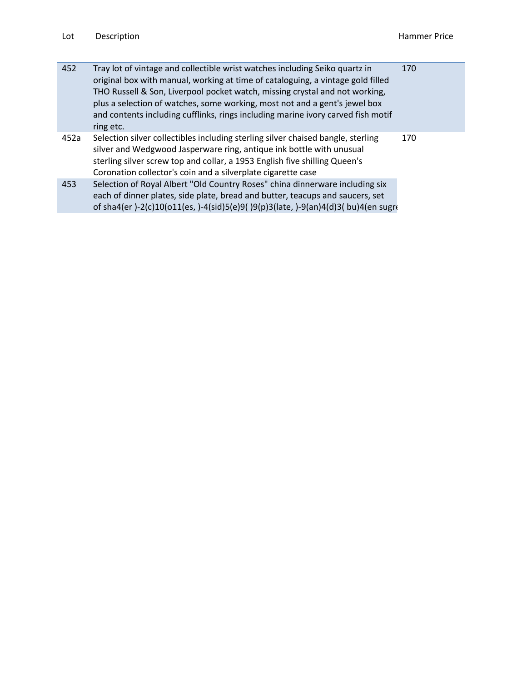| 452  | Tray lot of vintage and collectible wrist watches including Seiko quartz in<br>original box with manual, working at time of cataloguing, a vintage gold filled<br>THO Russell & Son, Liverpool pocket watch, missing crystal and not working,<br>plus a selection of watches, some working, most not and a gent's jewel box<br>and contents including cufflinks, rings including marine ivory carved fish motif<br>ring etc. | 170 |
|------|------------------------------------------------------------------------------------------------------------------------------------------------------------------------------------------------------------------------------------------------------------------------------------------------------------------------------------------------------------------------------------------------------------------------------|-----|
| 452a | Selection silver collectibles including sterling silver chaised bangle, sterling<br>silver and Wedgwood Jasperware ring, antique ink bottle with unusual<br>sterling silver screw top and collar, a 1953 English five shilling Queen's<br>Coronation collector's coin and a silverplate cigarette case                                                                                                                       | 170 |
| 453  | Selection of Royal Albert "Old Country Roses" china dinnerware including six<br>each of dinner plates, side plate, bread and butter, teacups and saucers, set<br>of sha4(er)-2(c)10(o11(es,)-4(sid)5(e)9()9(p)3(late,)-9(an)4(d)3(bu)4(en sugre                                                                                                                                                                              |     |
|      |                                                                                                                                                                                                                                                                                                                                                                                                                              |     |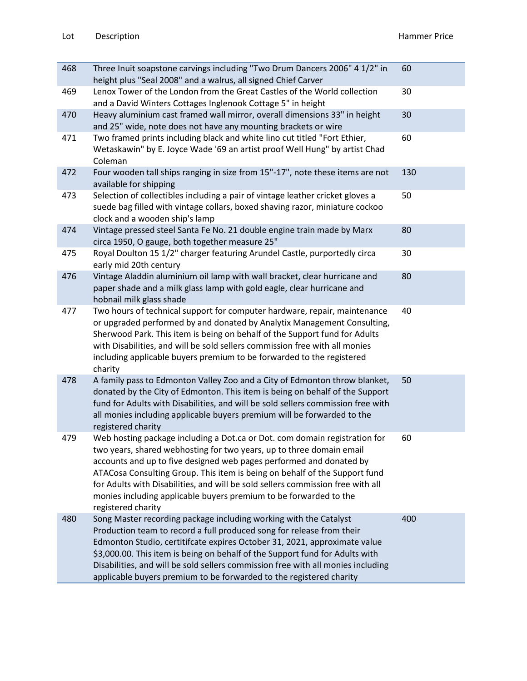| 468 | Three Inuit soapstone carvings including "Two Drum Dancers 2006" 4 1/2" in<br>height plus "Seal 2008" and a walrus, all signed Chief Carver                                                                                                                                                                                                                                                                                                                                           | 60  |
|-----|---------------------------------------------------------------------------------------------------------------------------------------------------------------------------------------------------------------------------------------------------------------------------------------------------------------------------------------------------------------------------------------------------------------------------------------------------------------------------------------|-----|
| 469 | Lenox Tower of the London from the Great Castles of the World collection<br>and a David Winters Cottages Inglenook Cottage 5" in height                                                                                                                                                                                                                                                                                                                                               | 30  |
| 470 | Heavy aluminium cast framed wall mirror, overall dimensions 33" in height<br>and 25" wide, note does not have any mounting brackets or wire                                                                                                                                                                                                                                                                                                                                           | 30  |
| 471 | Two framed prints including black and white lino cut titled "Fort Ethier,<br>Wetaskawin" by E. Joyce Wade '69 an artist proof Well Hung" by artist Chad<br>Coleman                                                                                                                                                                                                                                                                                                                    | 60  |
| 472 | Four wooden tall ships ranging in size from 15"-17", note these items are not<br>available for shipping                                                                                                                                                                                                                                                                                                                                                                               | 130 |
| 473 | Selection of collectibles including a pair of vintage leather cricket gloves a<br>suede bag filled with vintage collars, boxed shaving razor, miniature cockoo<br>clock and a wooden ship's lamp                                                                                                                                                                                                                                                                                      | 50  |
| 474 | Vintage pressed steel Santa Fe No. 21 double engine train made by Marx<br>circa 1950, O gauge, both together measure 25"                                                                                                                                                                                                                                                                                                                                                              | 80  |
| 475 | Royal Doulton 15 1/2" charger featuring Arundel Castle, purportedly circa<br>early mid 20th century                                                                                                                                                                                                                                                                                                                                                                                   | 30  |
| 476 | Vintage Aladdin aluminium oil lamp with wall bracket, clear hurricane and<br>paper shade and a milk glass lamp with gold eagle, clear hurricane and<br>hobnail milk glass shade                                                                                                                                                                                                                                                                                                       | 80  |
| 477 | Two hours of technical support for computer hardware, repair, maintenance<br>or upgraded performed by and donated by Analytix Management Consulting,<br>Sherwood Park. This item is being on behalf of the Support fund for Adults<br>with Disabilities, and will be sold sellers commission free with all monies<br>including applicable buyers premium to be forwarded to the registered<br>charity                                                                                 | 40  |
| 478 | A family pass to Edmonton Valley Zoo and a City of Edmonton throw blanket,<br>donated by the City of Edmonton. This item is being on behalf of the Support<br>fund for Adults with Disabilities, and will be sold sellers commission free with<br>all monies including applicable buyers premium will be forwarded to the<br>registered charity                                                                                                                                       | 50  |
| 479 | Web hosting package including a Dot.ca or Dot. com domain registration for<br>two years, shared webhosting for two years, up to three domain email<br>accounts and up to five designed web pages performed and donated by<br>ATACosa Consulting Group. This item is being on behalf of the Support fund<br>for Adults with Disabilities, and will be sold sellers commission free with all<br>monies including applicable buyers premium to be forwarded to the<br>registered charity | 60  |
| 480 | Song Master recording package including working with the Catalyst<br>Production team to record a full produced song for release from their<br>Edmonton Studio, certitifcate expires October 31, 2021, approximate value<br>\$3,000.00. This item is being on behalf of the Support fund for Adults with<br>Disabilities, and will be sold sellers commission free with all monies including<br>applicable buyers premium to be forwarded to the registered charity                    | 400 |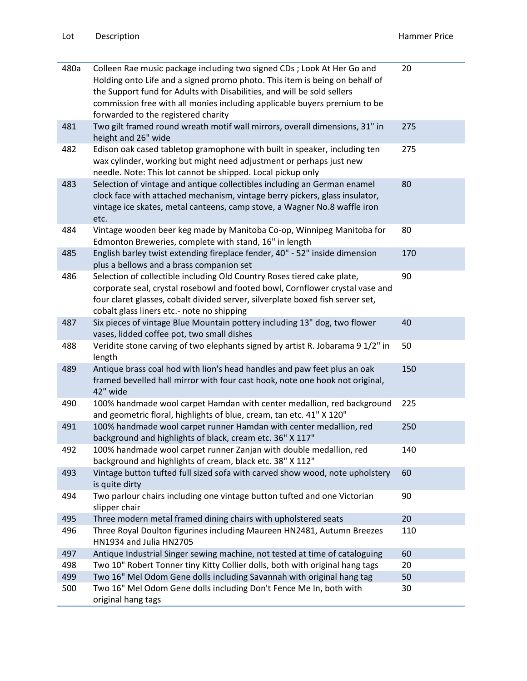| 480a | Colleen Rae music package including two signed CDs; Look At Her Go and<br>Holding onto Life and a signed promo photo. This item is being on behalf of<br>the Support fund for Adults with Disabilities, and will be sold sellers<br>commission free with all monies including applicable buyers premium to be<br>forwarded to the registered charity | 20  |
|------|------------------------------------------------------------------------------------------------------------------------------------------------------------------------------------------------------------------------------------------------------------------------------------------------------------------------------------------------------|-----|
| 481  | Two gilt framed round wreath motif wall mirrors, overall dimensions, 31" in<br>height and 26" wide                                                                                                                                                                                                                                                   | 275 |
| 482  | Edison oak cased tabletop gramophone with built in speaker, including ten<br>wax cylinder, working but might need adjustment or perhaps just new<br>needle. Note: This lot cannot be shipped. Local pickup only                                                                                                                                      | 275 |
| 483  | Selection of vintage and antique collectibles including an German enamel<br>clock face with attached mechanism, vintage berry pickers, glass insulator,<br>vintage ice skates, metal canteens, camp stove, a Wagner No.8 waffle iron<br>etc.                                                                                                         | 80  |
| 484  | Vintage wooden beer keg made by Manitoba Co-op, Winnipeg Manitoba for<br>Edmonton Breweries, complete with stand, 16" in length                                                                                                                                                                                                                      | 80  |
| 485  | English barley twist extending fireplace fender, 40" - 52" inside dimension<br>plus a bellows and a brass companion set                                                                                                                                                                                                                              | 170 |
| 486  | Selection of collectible including Old Country Roses tiered cake plate,<br>corporate seal, crystal rosebowl and footed bowl, Cornflower crystal vase and<br>four claret glasses, cobalt divided server, silverplate boxed fish server set,<br>cobalt glass liners etc.- note no shipping                                                             | 90  |
| 487  | Six pieces of vintage Blue Mountain pottery including 13" dog, two flower<br>vases, lidded coffee pot, two small dishes                                                                                                                                                                                                                              | 40  |
| 488  | Veridite stone carving of two elephants signed by artist R. Jobarama 9 1/2" in<br>length                                                                                                                                                                                                                                                             | 50  |
| 489  | Antique brass coal hod with lion's head handles and paw feet plus an oak<br>framed bevelled hall mirror with four cast hook, note one hook not original,<br>42" wide                                                                                                                                                                                 | 150 |
| 490  | 100% handmade wool carpet Hamdan with center medallion, red background<br>and geometric floral, highlights of blue, cream, tan etc. 41" X 120"                                                                                                                                                                                                       | 225 |
| 491  | 100% handmade wool carpet runner Hamdan with center medallion, red<br>background and highlights of black, cream etc. 36" X 117"                                                                                                                                                                                                                      | 250 |
| 492  | 100% handmade wool carpet runner Zanjan with double medallion, red<br>background and highlights of cream, black etc. 38" X 112"                                                                                                                                                                                                                      | 140 |
| 493  | Vintage button tufted full sized sofa with carved show wood, note upholstery<br>is quite dirty                                                                                                                                                                                                                                                       | 60  |
| 494  | Two parlour chairs including one vintage button tufted and one Victorian<br>slipper chair                                                                                                                                                                                                                                                            | 90  |
| 495  | Three modern metal framed dining chairs with upholstered seats                                                                                                                                                                                                                                                                                       | 20  |
| 496  | Three Royal Doulton figurines including Maureen HN2481, Autumn Breezes<br>HN1934 and Julia HN2705                                                                                                                                                                                                                                                    | 110 |
| 497  | Antique Industrial Singer sewing machine, not tested at time of cataloguing                                                                                                                                                                                                                                                                          | 60  |
| 498  | Two 10" Robert Tonner tiny Kitty Collier dolls, both with original hang tags                                                                                                                                                                                                                                                                         | 20  |
| 499  | Two 16" Mel Odom Gene dolls including Savannah with original hang tag                                                                                                                                                                                                                                                                                | 50  |
| 500  | Two 16" Mel Odom Gene dolls including Don't Fence Me In, both with<br>original hang tags                                                                                                                                                                                                                                                             | 30  |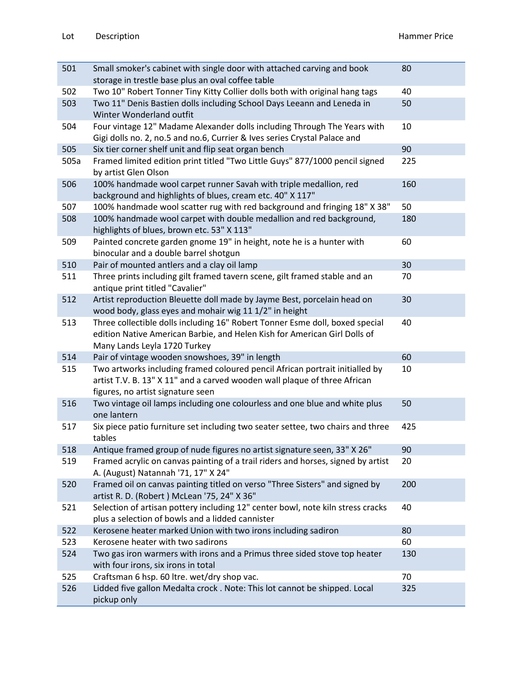| 501  | Small smoker's cabinet with single door with attached carving and book                                                                                                                         | 80  |
|------|------------------------------------------------------------------------------------------------------------------------------------------------------------------------------------------------|-----|
|      | storage in trestle base plus an oval coffee table                                                                                                                                              |     |
| 502  | Two 10" Robert Tonner Tiny Kitty Collier dolls both with original hang tags                                                                                                                    | 40  |
| 503  | Two 11" Denis Bastien dolls including School Days Leeann and Leneda in<br>Winter Wonderland outfit                                                                                             | 50  |
| 504  | Four vintage 12" Madame Alexander dolls including Through The Years with<br>Gigi dolls no. 2, no.5 and no.6, Currier & Ives series Crystal Palace and                                          | 10  |
| 505  | Six tier corner shelf unit and flip seat organ bench                                                                                                                                           | 90  |
| 505a | Framed limited edition print titled "Two Little Guys" 877/1000 pencil signed<br>by artist Glen Olson                                                                                           | 225 |
| 506  | 100% handmade wool carpet runner Savah with triple medallion, red<br>background and highlights of blues, cream etc. 40" X 117"                                                                 | 160 |
| 507  | 100% handmade wool scatter rug with red background and fringing 18" X 38"                                                                                                                      | 50  |
| 508  | 100% handmade wool carpet with double medallion and red background,<br>highlights of blues, brown etc. 53" X 113"                                                                              | 180 |
| 509  | Painted concrete garden gnome 19" in height, note he is a hunter with<br>binocular and a double barrel shotgun                                                                                 | 60  |
| 510  | Pair of mounted antlers and a clay oil lamp                                                                                                                                                    | 30  |
| 511  | Three prints including gilt framed tavern scene, gilt framed stable and an<br>antique print titled "Cavalier"                                                                                  | 70  |
| 512  | Artist reproduction Bleuette doll made by Jayme Best, porcelain head on<br>wood body, glass eyes and mohair wig 11 1/2" in height                                                              | 30  |
| 513  | Three collectible dolls including 16" Robert Tonner Esme doll, boxed special<br>edition Native American Barbie, and Helen Kish for American Girl Dolls of<br>Many Lands Leyla 1720 Turkey      | 40  |
| 514  | Pair of vintage wooden snowshoes, 39" in length                                                                                                                                                | 60  |
| 515  | Two artworks including framed coloured pencil African portrait initialled by<br>artist T.V. B. 13" X 11" and a carved wooden wall plaque of three African<br>figures, no artist signature seen | 10  |
| 516  | Two vintage oil lamps including one colourless and one blue and white plus<br>one lantern                                                                                                      | 50  |
| 517  | Six piece patio furniture set including two seater settee, two chairs and three<br>tables                                                                                                      | 425 |
| 518  | Antique framed group of nude figures no artist signature seen, 33" X 26"                                                                                                                       | 90  |
| 519  | Framed acrylic on canvas painting of a trail riders and horses, signed by artist<br>A. (August) Natannah '71, 17" X 24"                                                                        | 20  |
| 520  | Framed oil on canvas painting titled on verso "Three Sisters" and signed by<br>artist R. D. (Robert) McLean '75, 24" X 36"                                                                     | 200 |
| 521  | Selection of artisan pottery including 12" center bowl, note kiln stress cracks<br>plus a selection of bowls and a lidded cannister                                                            | 40  |
| 522  | Kerosene heater marked Union with two irons including sadiron                                                                                                                                  | 80  |
| 523  | Kerosene heater with two sadirons                                                                                                                                                              | 60  |
| 524  | Two gas iron warmers with irons and a Primus three sided stove top heater<br>with four irons, six irons in total                                                                               | 130 |
| 525  | Craftsman 6 hsp. 60 ltre. wet/dry shop vac.                                                                                                                                                    | 70  |
| 526  | Lidded five gallon Medalta crock . Note: This lot cannot be shipped. Local<br>pickup only                                                                                                      | 325 |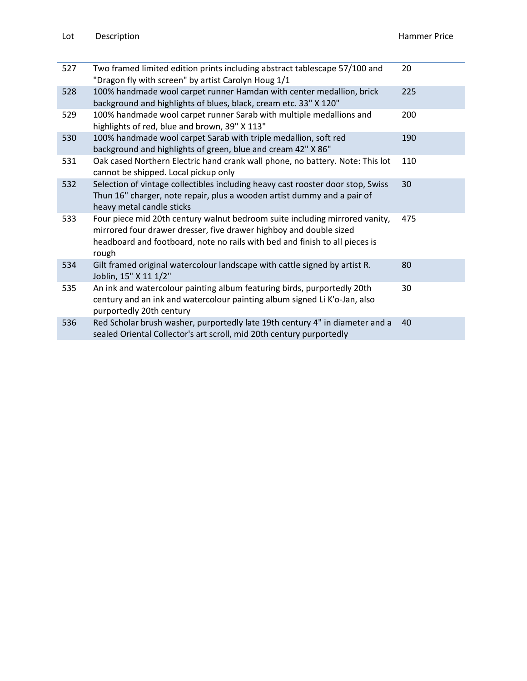| 527 | Two framed limited edition prints including abstract tablescape 57/100 and<br>"Dragon fly with screen" by artist Carolyn Houg 1/1                                                                                                         | 20  |
|-----|-------------------------------------------------------------------------------------------------------------------------------------------------------------------------------------------------------------------------------------------|-----|
| 528 | 100% handmade wool carpet runner Hamdan with center medallion, brick<br>background and highlights of blues, black, cream etc. 33" X 120"                                                                                                  | 225 |
| 529 | 100% handmade wool carpet runner Sarab with multiple medallions and<br>highlights of red, blue and brown, 39" X 113"                                                                                                                      | 200 |
| 530 | 100% handmade wool carpet Sarab with triple medallion, soft red<br>background and highlights of green, blue and cream 42" X 86"                                                                                                           | 190 |
| 531 | Oak cased Northern Electric hand crank wall phone, no battery. Note: This lot<br>cannot be shipped. Local pickup only                                                                                                                     | 110 |
| 532 | Selection of vintage collectibles including heavy cast rooster door stop, Swiss<br>Thun 16" charger, note repair, plus a wooden artist dummy and a pair of<br>heavy metal candle sticks                                                   | 30  |
| 533 | Four piece mid 20th century walnut bedroom suite including mirrored vanity,<br>mirrored four drawer dresser, five drawer highboy and double sized<br>headboard and footboard, note no rails with bed and finish to all pieces is<br>rough | 475 |
| 534 | Gilt framed original watercolour landscape with cattle signed by artist R.<br>Joblin, 15" X 11 1/2"                                                                                                                                       | 80  |
| 535 | An ink and watercolour painting album featuring birds, purportedly 20th<br>century and an ink and watercolour painting album signed Li K'o-Jan, also<br>purportedly 20th century                                                          | 30  |
| 536 | Red Scholar brush washer, purportedly late 19th century 4" in diameter and a<br>sealed Oriental Collector's art scroll, mid 20th century purportedly                                                                                      | 40  |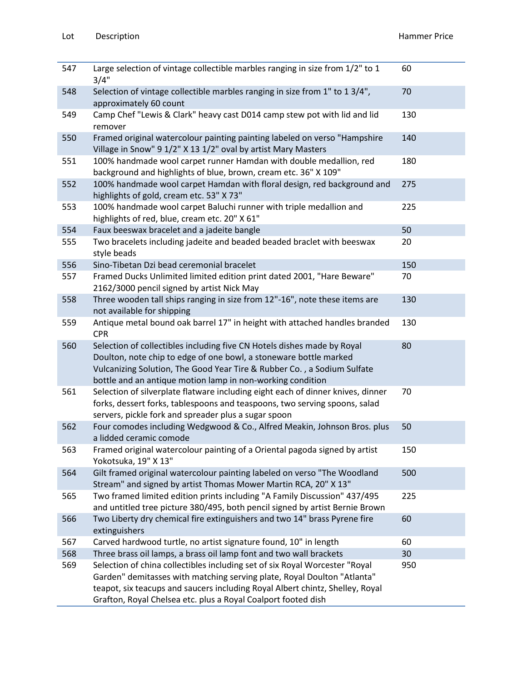| 547 | Large selection of vintage collectible marbles ranging in size from 1/2" to 1<br>3/4"                                                                                                                                                                                                                    | 60  |
|-----|----------------------------------------------------------------------------------------------------------------------------------------------------------------------------------------------------------------------------------------------------------------------------------------------------------|-----|
| 548 | Selection of vintage collectible marbles ranging in size from 1" to 1 3/4",<br>approximately 60 count                                                                                                                                                                                                    | 70  |
| 549 | Camp Chef "Lewis & Clark" heavy cast D014 camp stew pot with lid and lid<br>remover                                                                                                                                                                                                                      | 130 |
| 550 | Framed original watercolour painting painting labeled on verso "Hampshire<br>Village in Snow" 9 1/2" X 13 1/2" oval by artist Mary Masters                                                                                                                                                               | 140 |
| 551 | 100% handmade wool carpet runner Hamdan with double medallion, red<br>background and highlights of blue, brown, cream etc. 36" X 109"                                                                                                                                                                    | 180 |
| 552 | 100% handmade wool carpet Hamdan with floral design, red background and<br>highlights of gold, cream etc. 53" X 73"                                                                                                                                                                                      | 275 |
| 553 | 100% handmade wool carpet Baluchi runner with triple medallion and<br>highlights of red, blue, cream etc. 20" X 61"                                                                                                                                                                                      | 225 |
| 554 | Faux beeswax bracelet and a jadeite bangle                                                                                                                                                                                                                                                               | 50  |
| 555 | Two bracelets including jadeite and beaded beaded braclet with beeswax<br>style beads                                                                                                                                                                                                                    | 20  |
| 556 | Sino-Tibetan Dzi bead ceremonial bracelet                                                                                                                                                                                                                                                                | 150 |
| 557 | Framed Ducks Unlimited limited edition print dated 2001, "Hare Beware"<br>2162/3000 pencil signed by artist Nick May                                                                                                                                                                                     | 70  |
| 558 | Three wooden tall ships ranging in size from 12"-16", note these items are<br>not available for shipping                                                                                                                                                                                                 | 130 |
| 559 | Antique metal bound oak barrel 17" in height with attached handles branded<br><b>CPR</b>                                                                                                                                                                                                                 | 130 |
| 560 | Selection of collectibles including five CN Hotels dishes made by Royal<br>Doulton, note chip to edge of one bowl, a stoneware bottle marked<br>Vulcanizing Solution, The Good Year Tire & Rubber Co., a Sodium Sulfate<br>bottle and an antique motion lamp in non-working condition                    | 80  |
| 561 | Selection of silverplate flatware including eight each of dinner knives, dinner<br>forks, dessert forks, tablespoons and teaspoons, two serving spoons, salad<br>servers, pickle fork and spreader plus a sugar spoon                                                                                    | 70  |
| 562 | Four comodes including Wedgwood & Co., Alfred Meakin, Johnson Bros. plus<br>a lidded ceramic comode                                                                                                                                                                                                      | 50  |
| 563 | Framed original watercolour painting of a Oriental pagoda signed by artist<br>Yokotsuka, 19" X 13"                                                                                                                                                                                                       | 150 |
| 564 | Gilt framed original watercolour painting labeled on verso "The Woodland<br>Stream" and signed by artist Thomas Mower Martin RCA, 20" X 13"                                                                                                                                                              | 500 |
| 565 | Two framed limited edition prints including "A Family Discussion" 437/495<br>and untitled tree picture 380/495, both pencil signed by artist Bernie Brown                                                                                                                                                | 225 |
| 566 | Two Liberty dry chemical fire extinguishers and two 14" brass Pyrene fire<br>extinguishers                                                                                                                                                                                                               | 60  |
| 567 | Carved hardwood turtle, no artist signature found, 10" in length                                                                                                                                                                                                                                         | 60  |
| 568 | Three brass oil lamps, a brass oil lamp font and two wall brackets                                                                                                                                                                                                                                       | 30  |
| 569 | Selection of china collectibles including set of six Royal Worcester "Royal<br>Garden" demitasses with matching serving plate, Royal Doulton "Atlanta"<br>teapot, six teacups and saucers including Royal Albert chintz, Shelley, Royal<br>Grafton, Royal Chelsea etc. plus a Royal Coalport footed dish | 950 |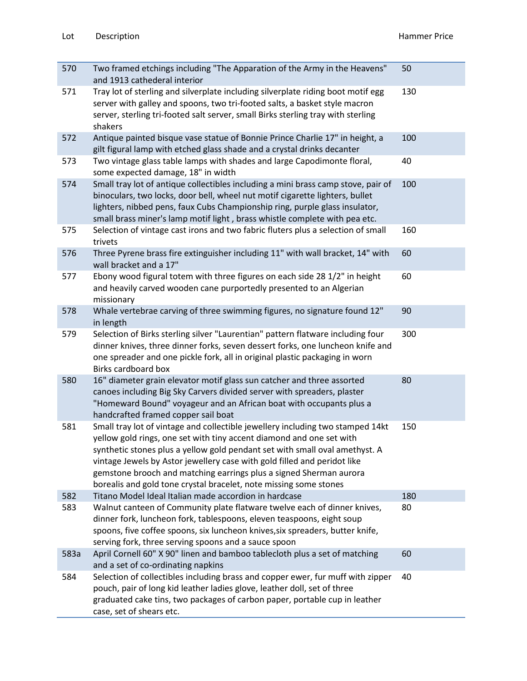| 570  | Two framed etchings including "The Apparation of the Army in the Heavens"<br>and 1913 cathederal interior                                                                                                                                                                                                                                                                                                                                                    | 50  |
|------|--------------------------------------------------------------------------------------------------------------------------------------------------------------------------------------------------------------------------------------------------------------------------------------------------------------------------------------------------------------------------------------------------------------------------------------------------------------|-----|
| 571  | Tray lot of sterling and silverplate including silverplate riding boot motif egg<br>server with galley and spoons, two tri-footed salts, a basket style macron<br>server, sterling tri-footed salt server, small Birks sterling tray with sterling<br>shakers                                                                                                                                                                                                | 130 |
| 572  | Antique painted bisque vase statue of Bonnie Prince Charlie 17" in height, a<br>gilt figural lamp with etched glass shade and a crystal drinks decanter                                                                                                                                                                                                                                                                                                      | 100 |
| 573  | Two vintage glass table lamps with shades and large Capodimonte floral,<br>some expected damage, 18" in width                                                                                                                                                                                                                                                                                                                                                | 40  |
| 574  | Small tray lot of antique collectibles including a mini brass camp stove, pair of<br>binoculars, two locks, door bell, wheel nut motif cigarette lighters, bullet<br>lighters, nibbed pens, faux Cubs Championship ring, purple glass insulator,<br>small brass miner's lamp motif light, brass whistle complete with pea etc.                                                                                                                               | 100 |
| 575  | Selection of vintage cast irons and two fabric fluters plus a selection of small<br>trivets                                                                                                                                                                                                                                                                                                                                                                  | 160 |
| 576  | Three Pyrene brass fire extinguisher including 11" with wall bracket, 14" with<br>wall bracket and a 17"                                                                                                                                                                                                                                                                                                                                                     | 60  |
| 577  | Ebony wood figural totem with three figures on each side 28 1/2" in height<br>and heavily carved wooden cane purportedly presented to an Algerian<br>missionary                                                                                                                                                                                                                                                                                              | 60  |
| 578  | Whale vertebrae carving of three swimming figures, no signature found 12"<br>in length                                                                                                                                                                                                                                                                                                                                                                       | 90  |
| 579  | Selection of Birks sterling silver "Laurentian" pattern flatware including four<br>dinner knives, three dinner forks, seven dessert forks, one luncheon knife and<br>one spreader and one pickle fork, all in original plastic packaging in worn<br>Birks cardboard box                                                                                                                                                                                      | 300 |
| 580  | 16" diameter grain elevator motif glass sun catcher and three assorted<br>canoes including Big Sky Carvers divided server with spreaders, plaster<br>"Homeward Bound" voyageur and an African boat with occupants plus a<br>handcrafted framed copper sail boat                                                                                                                                                                                              | 80  |
| 581  | Small tray lot of vintage and collectible jewellery including two stamped 14kt<br>yellow gold rings, one set with tiny accent diamond and one set with<br>synthetic stones plus a yellow gold pendant set with small oval amethyst. A<br>vintage Jewels by Astor jewellery case with gold filled and peridot like<br>gemstone brooch and matching earrings plus a signed Sherman aurora<br>borealis and gold tone crystal bracelet, note missing some stones | 150 |
| 582  | Titano Model Ideal Italian made accordion in hardcase                                                                                                                                                                                                                                                                                                                                                                                                        | 180 |
| 583  | Walnut canteen of Community plate flatware twelve each of dinner knives,<br>dinner fork, luncheon fork, tablespoons, eleven teaspoons, eight soup<br>spoons, five coffee spoons, six luncheon knives, six spreaders, butter knife,<br>serving fork, three serving spoons and a sauce spoon                                                                                                                                                                   | 80  |
| 583a | April Cornell 60" X 90" linen and bamboo tablecloth plus a set of matching<br>and a set of co-ordinating napkins                                                                                                                                                                                                                                                                                                                                             | 60  |
| 584  | Selection of collectibles including brass and copper ewer, fur muff with zipper<br>pouch, pair of long kid leather ladies glove, leather doll, set of three<br>graduated cake tins, two packages of carbon paper, portable cup in leather<br>case, set of shears etc.                                                                                                                                                                                        | 40  |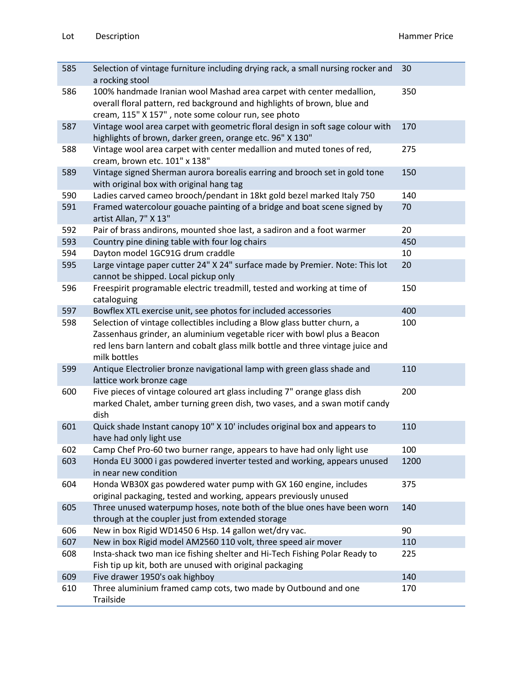| 585 | Selection of vintage furniture including drying rack, a small nursing rocker and<br>a rocking stool                                                                                                                                                    | 30   |
|-----|--------------------------------------------------------------------------------------------------------------------------------------------------------------------------------------------------------------------------------------------------------|------|
| 586 | 100% handmade Iranian wool Mashad area carpet with center medallion,<br>overall floral pattern, red background and highlights of brown, blue and<br>cream, 115" X 157", note some colour run, see photo                                                | 350  |
| 587 | Vintage wool area carpet with geometric floral design in soft sage colour with<br>highlights of brown, darker green, orange etc. 96" X 130"                                                                                                            | 170  |
| 588 | Vintage wool area carpet with center medallion and muted tones of red,<br>cream, brown etc. 101" x 138"                                                                                                                                                | 275  |
| 589 | Vintage signed Sherman aurora borealis earring and brooch set in gold tone<br>with original box with original hang tag                                                                                                                                 | 150  |
| 590 | Ladies carved cameo brooch/pendant in 18kt gold bezel marked Italy 750                                                                                                                                                                                 | 140  |
| 591 | Framed watercolour gouache painting of a bridge and boat scene signed by<br>artist Allan, 7" X 13"                                                                                                                                                     | 70   |
| 592 | Pair of brass andirons, mounted shoe last, a sadiron and a foot warmer                                                                                                                                                                                 | 20   |
| 593 | Country pine dining table with four log chairs                                                                                                                                                                                                         | 450  |
| 594 | Dayton model 1GC91G drum craddle                                                                                                                                                                                                                       | 10   |
| 595 | Large vintage paper cutter 24" X 24" surface made by Premier. Note: This lot<br>cannot be shipped. Local pickup only                                                                                                                                   | 20   |
| 596 | Freespirit programable electric treadmill, tested and working at time of<br>cataloguing                                                                                                                                                                | 150  |
| 597 | Bowflex XTL exercise unit, see photos for included accessories                                                                                                                                                                                         | 400  |
| 598 | Selection of vintage collectibles including a Blow glass butter churn, a<br>Zassenhaus grinder, an aluminium vegetable ricer with bowl plus a Beacon<br>red lens barn lantern and cobalt glass milk bottle and three vintage juice and<br>milk bottles | 100  |
| 599 | Antique Electrolier bronze navigational lamp with green glass shade and<br>lattice work bronze cage                                                                                                                                                    | 110  |
| 600 | Five pieces of vintage coloured art glass including 7" orange glass dish<br>marked Chalet, amber turning green dish, two vases, and a swan motif candy<br>dish                                                                                         | 200  |
| 601 | Quick shade Instant canopy 10" X 10' includes original box and appears to<br>have had only light use                                                                                                                                                   | 110  |
| 602 | Camp Chef Pro-60 two burner range, appears to have had only light use                                                                                                                                                                                  | 100  |
| 603 | Honda EU 3000 i gas powdered inverter tested and working, appears unused<br>in near new condition                                                                                                                                                      | 1200 |
| 604 | Honda WB30X gas powdered water pump with GX 160 engine, includes<br>original packaging, tested and working, appears previously unused                                                                                                                  | 375  |
| 605 | Three unused waterpump hoses, note both of the blue ones have been worn<br>through at the coupler just from extended storage                                                                                                                           | 140  |
| 606 | New in box Rigid WD1450 6 Hsp. 14 gallon wet/dry vac.                                                                                                                                                                                                  | 90   |
| 607 | New in box Rigid model AM2560 110 volt, three speed air mover                                                                                                                                                                                          | 110  |
| 608 | Insta-shack two man ice fishing shelter and Hi-Tech Fishing Polar Ready to<br>Fish tip up kit, both are unused with original packaging                                                                                                                 | 225  |
| 609 | Five drawer 1950's oak highboy                                                                                                                                                                                                                         | 140  |
| 610 | Three aluminium framed camp cots, two made by Outbound and one<br>Trailside                                                                                                                                                                            | 170  |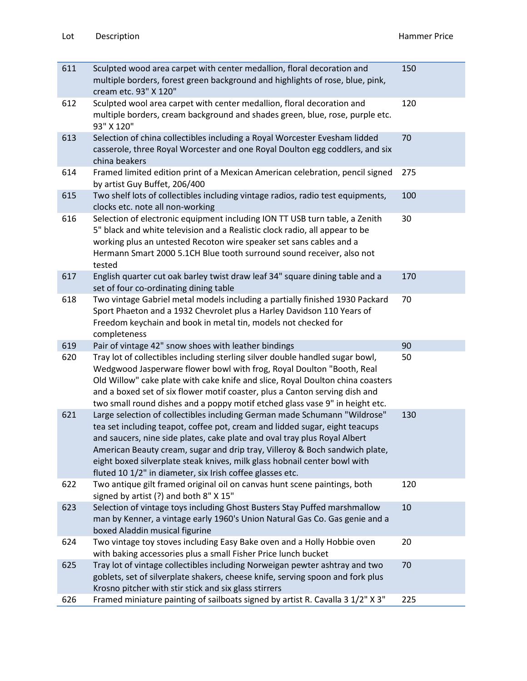| 611 | Sculpted wood area carpet with center medallion, floral decoration and<br>multiple borders, forest green background and highlights of rose, blue, pink,<br>cream etc. 93" X 120"                                                                                                                                                                                                                                                                               | 150 |
|-----|----------------------------------------------------------------------------------------------------------------------------------------------------------------------------------------------------------------------------------------------------------------------------------------------------------------------------------------------------------------------------------------------------------------------------------------------------------------|-----|
| 612 | Sculpted wool area carpet with center medallion, floral decoration and<br>multiple borders, cream background and shades green, blue, rose, purple etc.<br>93" X 120"                                                                                                                                                                                                                                                                                           | 120 |
| 613 | Selection of china collectibles including a Royal Worcester Evesham lidded<br>casserole, three Royal Worcester and one Royal Doulton egg coddlers, and six<br>china beakers                                                                                                                                                                                                                                                                                    | 70  |
| 614 | Framed limited edition print of a Mexican American celebration, pencil signed<br>by artist Guy Buffet, 206/400                                                                                                                                                                                                                                                                                                                                                 | 275 |
| 615 | Two shelf lots of collectibles including vintage radios, radio test equipments,<br>clocks etc. note all non-working                                                                                                                                                                                                                                                                                                                                            | 100 |
| 616 | Selection of electronic equipment including ION TT USB turn table, a Zenith<br>5" black and white television and a Realistic clock radio, all appear to be<br>working plus an untested Recoton wire speaker set sans cables and a<br>Hermann Smart 2000 5.1CH Blue tooth surround sound receiver, also not<br>tested                                                                                                                                           | 30  |
| 617 | English quarter cut oak barley twist draw leaf 34" square dining table and a<br>set of four co-ordinating dining table                                                                                                                                                                                                                                                                                                                                         | 170 |
| 618 | Two vintage Gabriel metal models including a partially finished 1930 Packard<br>Sport Phaeton and a 1932 Chevrolet plus a Harley Davidson 110 Years of<br>Freedom keychain and book in metal tin, models not checked for                                                                                                                                                                                                                                       | 70  |
|     | completeness                                                                                                                                                                                                                                                                                                                                                                                                                                                   |     |
| 619 | Pair of vintage 42" snow shoes with leather bindings                                                                                                                                                                                                                                                                                                                                                                                                           | 90  |
| 620 | Tray lot of collectibles including sterling silver double handled sugar bowl,<br>Wedgwood Jasperware flower bowl with frog, Royal Doulton "Booth, Real<br>Old Willow" cake plate with cake knife and slice, Royal Doulton china coasters<br>and a boxed set of six flower motif coaster, plus a Canton serving dish and<br>two small round dishes and a poppy motif etched glass vase 9" in height etc.                                                        | 50  |
| 621 | Large selection of collectibles including German made Schumann "Wildrose"<br>tea set including teapot, coffee pot, cream and lidded sugar, eight teacups<br>and saucers, nine side plates, cake plate and oval tray plus Royal Albert<br>American Beauty cream, sugar and drip tray, Villeroy & Boch sandwich plate,<br>eight boxed silverplate steak knives, milk glass hobnail center bowl with<br>fluted 10 1/2" in diameter, six Irish coffee glasses etc. | 130 |
| 622 | Two antique gilt framed original oil on canvas hunt scene paintings, both<br>signed by artist (?) and both 8" X 15"                                                                                                                                                                                                                                                                                                                                            | 120 |
| 623 | Selection of vintage toys including Ghost Busters Stay Puffed marshmallow<br>man by Kenner, a vintage early 1960's Union Natural Gas Co. Gas genie and a<br>boxed Aladdin musical figurine                                                                                                                                                                                                                                                                     | 10  |
| 624 | Two vintage toy stoves including Easy Bake oven and a Holly Hobbie oven<br>with baking accessories plus a small Fisher Price lunch bucket                                                                                                                                                                                                                                                                                                                      | 20  |
| 625 | Tray lot of vintage collectibles including Norweigan pewter ashtray and two<br>goblets, set of silverplate shakers, cheese knife, serving spoon and fork plus<br>Krosno pitcher with stir stick and six glass stirrers<br>Framed miniature painting of sailboats signed by artist R. Cavalla 3 1/2" X 3"                                                                                                                                                       | 70  |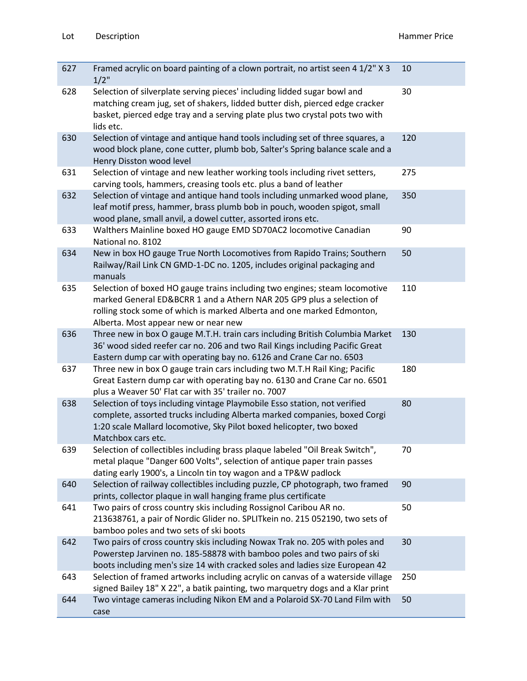| 627 | Framed acrylic on board painting of a clown portrait, no artist seen 4 1/2" X 3<br>$1/2$ "                                                                                                                                                                            | 10  |
|-----|-----------------------------------------------------------------------------------------------------------------------------------------------------------------------------------------------------------------------------------------------------------------------|-----|
| 628 | Selection of silverplate serving pieces' including lidded sugar bowl and<br>matching cream jug, set of shakers, lidded butter dish, pierced edge cracker<br>basket, pierced edge tray and a serving plate plus two crystal pots two with<br>lids etc.                 | 30  |
| 630 | Selection of vintage and antique hand tools including set of three squares, a<br>wood block plane, cone cutter, plumb bob, Salter's Spring balance scale and a<br>Henry Disston wood level                                                                            | 120 |
| 631 | Selection of vintage and new leather working tools including rivet setters,<br>carving tools, hammers, creasing tools etc. plus a band of leather                                                                                                                     | 275 |
| 632 | Selection of vintage and antique hand tools including unmarked wood plane,<br>leaf motif press, hammer, brass plumb bob in pouch, wooden spigot, small<br>wood plane, small anvil, a dowel cutter, assorted irons etc.                                                | 350 |
| 633 | Walthers Mainline boxed HO gauge EMD SD70AC2 locomotive Canadian<br>National no. 8102                                                                                                                                                                                 | 90  |
| 634 | New in box HO gauge True North Locomotives from Rapido Trains; Southern<br>Railway/Rail Link CN GMD-1-DC no. 1205, includes original packaging and<br>manuals                                                                                                         | 50  |
| 635 | Selection of boxed HO gauge trains including two engines; steam locomotive<br>marked General ED&BCRR 1 and a Athern NAR 205 GP9 plus a selection of<br>rolling stock some of which is marked Alberta and one marked Edmonton,<br>Alberta. Most appear new or near new | 110 |
| 636 | Three new in box O gauge M.T.H. train cars including British Columbia Market<br>36' wood sided reefer car no. 206 and two Rail Kings including Pacific Great<br>Eastern dump car with operating bay no. 6126 and Crane Car no. 6503                                   | 130 |
| 637 | Three new in box O gauge train cars including two M.T.H Rail King; Pacific<br>Great Eastern dump car with operating bay no. 6130 and Crane Car no. 6501<br>plus a Weaver 50' Flat car with 35' trailer no. 7007                                                       | 180 |
| 638 | Selection of toys including vintage Playmobile Esso station, not verified<br>complete, assorted trucks including Alberta marked companies, boxed Corgi<br>1:20 scale Mallard locomotive, Sky Pilot boxed helicopter, two boxed<br>Matchbox cars etc.                  | 80  |
| 639 | Selection of collectibles including brass plaque labeled "Oil Break Switch",<br>metal plaque "Danger 600 Volts", selection of antique paper train passes<br>dating early 1900's, a Lincoln tin toy wagon and a TP&W padlock                                           | 70  |
| 640 | Selection of railway collectibles including puzzle, CP photograph, two framed<br>prints, collector plaque in wall hanging frame plus certificate                                                                                                                      | 90  |
| 641 | Two pairs of cross country skis including Rossignol Caribou AR no.<br>213638761, a pair of Nordic Glider no. SPLITkein no. 215 052190, two sets of<br>bamboo poles and two sets of ski boots                                                                          | 50  |
| 642 | Two pairs of cross country skis including Nowax Trak no. 205 with poles and<br>Powerstep Jarvinen no. 185-58878 with bamboo poles and two pairs of ski<br>boots including men's size 14 with cracked soles and ladies size European 42                                | 30  |
| 643 | Selection of framed artworks including acrylic on canvas of a waterside village<br>signed Bailey 18" X 22", a batik painting, two marquetry dogs and a Klar print                                                                                                     | 250 |
| 644 | Two vintage cameras including Nikon EM and a Polaroid SX-70 Land Film with<br>case                                                                                                                                                                                    | 50  |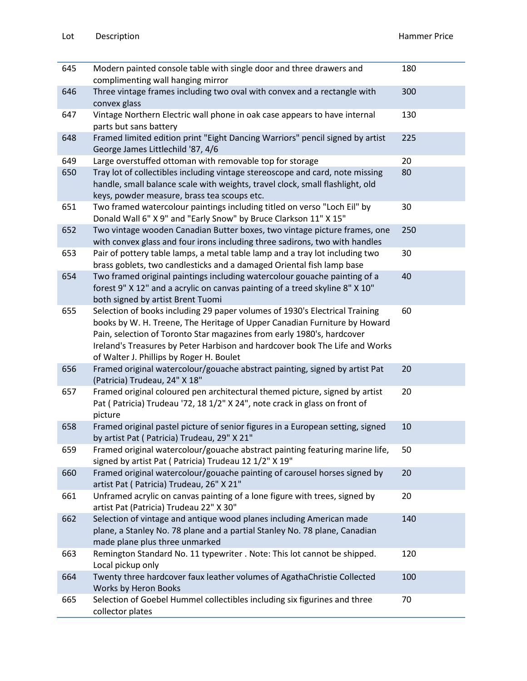| 645 | Modern painted console table with single door and three drawers and<br>complimenting wall hanging mirror                                                                                                                                                                                                                                                      | 180 |
|-----|---------------------------------------------------------------------------------------------------------------------------------------------------------------------------------------------------------------------------------------------------------------------------------------------------------------------------------------------------------------|-----|
| 646 | Three vintage frames including two oval with convex and a rectangle with<br>convex glass                                                                                                                                                                                                                                                                      | 300 |
| 647 | Vintage Northern Electric wall phone in oak case appears to have internal<br>parts but sans battery                                                                                                                                                                                                                                                           | 130 |
| 648 | Framed limited edition print "Eight Dancing Warriors" pencil signed by artist<br>George James Littlechild '87, 4/6                                                                                                                                                                                                                                            | 225 |
| 649 | Large overstuffed ottoman with removable top for storage                                                                                                                                                                                                                                                                                                      | 20  |
| 650 | Tray lot of collectibles including vintage stereoscope and card, note missing<br>handle, small balance scale with weights, travel clock, small flashlight, old<br>keys, powder measure, brass tea scoups etc.                                                                                                                                                 | 80  |
| 651 | Two framed watercolour paintings including titled on verso "Loch Eil" by<br>Donald Wall 6" X 9" and "Early Snow" by Bruce Clarkson 11" X 15"                                                                                                                                                                                                                  | 30  |
| 652 | Two vintage wooden Canadian Butter boxes, two vintage picture frames, one<br>with convex glass and four irons including three sadirons, two with handles                                                                                                                                                                                                      | 250 |
| 653 | Pair of pottery table lamps, a metal table lamp and a tray lot including two<br>brass goblets, two candlesticks and a damaged Oriental fish lamp base                                                                                                                                                                                                         | 30  |
| 654 | Two framed original paintings including watercolour gouache painting of a<br>forest 9" X 12" and a acrylic on canvas painting of a treed skyline 8" X 10"<br>both signed by artist Brent Tuomi                                                                                                                                                                | 40  |
| 655 | Selection of books including 29 paper volumes of 1930's Electrical Training<br>books by W. H. Treene, The Heritage of Upper Canadian Furniture by Howard<br>Pain, selection of Toronto Star magazines from early 1980's, hardcover<br>Ireland's Treasures by Peter Harbison and hardcover book The Life and Works<br>of Walter J. Phillips by Roger H. Boulet | 60  |
| 656 | Framed original watercolour/gouache abstract painting, signed by artist Pat<br>(Patricia) Trudeau, 24" X 18"                                                                                                                                                                                                                                                  | 20  |
| 657 | Framed original coloured pen architectural themed picture, signed by artist<br>Pat (Patricia) Trudeau '72, 18 1/2" X 24", note crack in glass on front of<br>picture                                                                                                                                                                                          | 20  |
| 658 | Framed original pastel picture of senior figures in a European setting, signed<br>by artist Pat (Patricia) Trudeau, 29" X 21"                                                                                                                                                                                                                                 | 10  |
| 659 | Framed original watercolour/gouache abstract painting featuring marine life,<br>signed by artist Pat ( Patricia) Trudeau 12 1/2" X 19"                                                                                                                                                                                                                        | 50  |
| 660 | Framed original watercolour/gouache painting of carousel horses signed by<br>artist Pat ( Patricia) Trudeau, 26" X 21"                                                                                                                                                                                                                                        | 20  |
| 661 | Unframed acrylic on canvas painting of a lone figure with trees, signed by<br>artist Pat (Patricia) Trudeau 22" X 30"                                                                                                                                                                                                                                         | 20  |
| 662 | Selection of vintage and antique wood planes including American made<br>plane, a Stanley No. 78 plane and a partial Stanley No. 78 plane, Canadian<br>made plane plus three unmarked                                                                                                                                                                          | 140 |
| 663 | Remington Standard No. 11 typewriter . Note: This lot cannot be shipped.<br>Local pickup only                                                                                                                                                                                                                                                                 | 120 |
| 664 | Twenty three hardcover faux leather volumes of AgathaChristie Collected<br>Works by Heron Books                                                                                                                                                                                                                                                               | 100 |
| 665 | Selection of Goebel Hummel collectibles including six figurines and three<br>collector plates                                                                                                                                                                                                                                                                 | 70  |